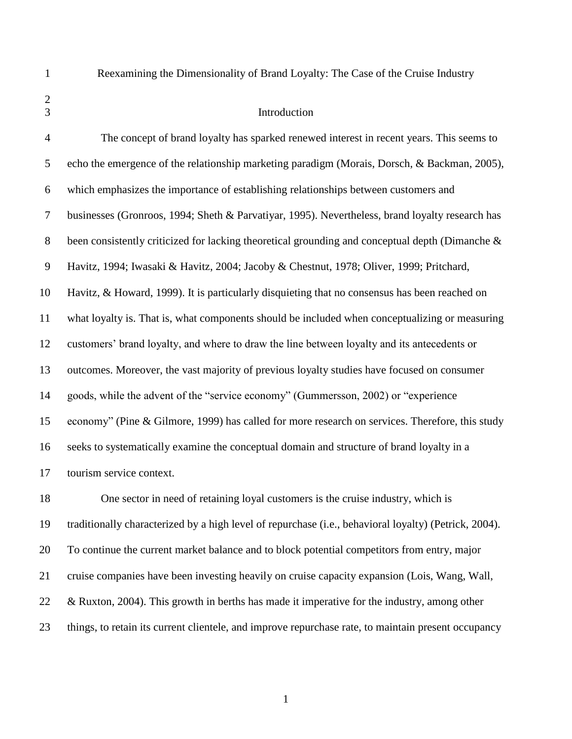Reexamining the Dimensionality of Brand Loyalty: The Case of the Cruise Industry

## Introduction

 The concept of brand loyalty has sparked renewed interest in recent years. This seems to echo the emergence of the relationship marketing paradigm (Morais, Dorsch, & Backman, 2005), which emphasizes the importance of establishing relationships between customers and businesses (Gronroos, 1994; Sheth & Parvatiyar, 1995). Nevertheless, brand loyalty research has been consistently criticized for lacking theoretical grounding and conceptual depth (Dimanche & Havitz, 1994; Iwasaki & Havitz, 2004; Jacoby & Chestnut, 1978; Oliver, 1999; Pritchard, Havitz, & Howard, 1999). It is particularly disquieting that no consensus has been reached on what loyalty is. That is, what components should be included when conceptualizing or measuring customers" brand loyalty, and where to draw the line between loyalty and its antecedents or outcomes. Moreover, the vast majority of previous loyalty studies have focused on consumer goods, while the advent of the "service economy" (Gummersson, 2002) or "experience economy" (Pine & Gilmore, 1999) has called for more research on services. Therefore, this study seeks to systematically examine the conceptual domain and structure of brand loyalty in a tourism service context.

 One sector in need of retaining loyal customers is the cruise industry, which is traditionally characterized by a high level of repurchase (i.e., behavioral loyalty) (Petrick, 2004). To continue the current market balance and to block potential competitors from entry, major cruise companies have been investing heavily on cruise capacity expansion (Lois, Wang, Wall, 22 & Ruxton, 2004). This growth in berths has made it imperative for the industry, among other things, to retain its current clientele, and improve repurchase rate, to maintain present occupancy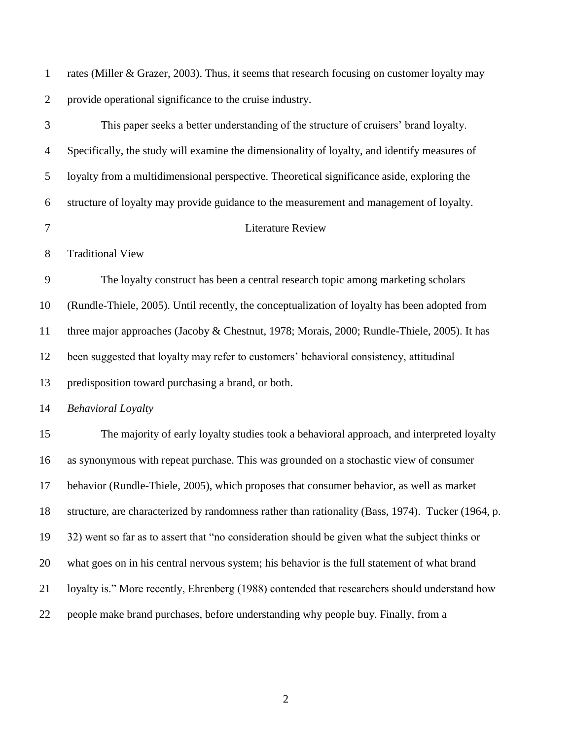rates (Miller & Grazer, 2003). Thus, it seems that research focusing on customer loyalty may provide operational significance to the cruise industry.

 This paper seeks a better understanding of the structure of cruisers" brand loyalty. Specifically, the study will examine the dimensionality of loyalty, and identify measures of loyalty from a multidimensional perspective. Theoretical significance aside, exploring the structure of loyalty may provide guidance to the measurement and management of loyalty. Literature Review Traditional View The loyalty construct has been a central research topic among marketing scholars (Rundle-Thiele, 2005). Until recently, the conceptualization of loyalty has been adopted from three major approaches (Jacoby & Chestnut, 1978; Morais, 2000; Rundle-Thiele, 2005). It has been suggested that loyalty may refer to customers" behavioral consistency, attitudinal predisposition toward purchasing a brand, or both. *Behavioral Loyalty*  The majority of early loyalty studies took a behavioral approach, and interpreted loyalty as synonymous with repeat purchase. This was grounded on a stochastic view of consumer behavior (Rundle-Thiele, 2005), which proposes that consumer behavior, as well as market structure, are characterized by randomness rather than rationality (Bass, 1974). Tucker (1964, p. 32) went so far as to assert that "no consideration should be given what the subject thinks or what goes on in his central nervous system; his behavior is the full statement of what brand loyalty is." More recently, Ehrenberg (1988) contended that researchers should understand how people make brand purchases, before understanding why people buy. Finally, from a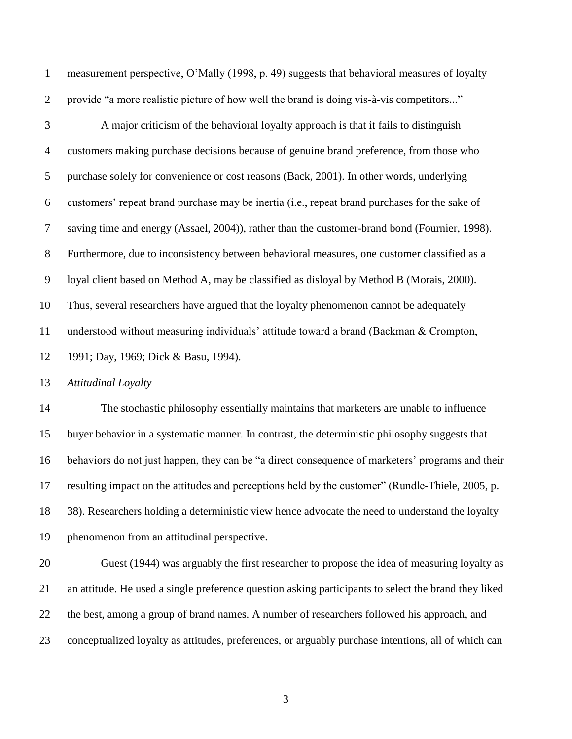measurement perspective, O"Mally (1998, p. 49) suggests that behavioral measures of loyalty provide "a more realistic picture of how well the brand is doing vis-à-vis competitors..."

 A major criticism of the behavioral loyalty approach is that it fails to distinguish customers making purchase decisions because of genuine brand preference, from those who purchase solely for convenience or cost reasons (Back, 2001). In other words, underlying customers" repeat brand purchase may be inertia (i.e., repeat brand purchases for the sake of saving time and energy (Assael, 2004)), rather than the customer-brand bond (Fournier, 1998). Furthermore, due to inconsistency between behavioral measures, one customer classified as a loyal client based on Method A, may be classified as disloyal by Method B (Morais, 2000). Thus, several researchers have argued that the loyalty phenomenon cannot be adequately understood without measuring individuals" attitude toward a brand (Backman & Crompton, 1991; Day, 1969; Dick & Basu, 1994).

*Attitudinal Loyalty*

 The stochastic philosophy essentially maintains that marketers are unable to influence buyer behavior in a systematic manner. In contrast, the deterministic philosophy suggests that 16 behaviors do not just happen, they can be "a direct consequence of marketers' programs and their resulting impact on the attitudes and perceptions held by the customer" (Rundle-Thiele, 2005, p. 38). Researchers holding a deterministic view hence advocate the need to understand the loyalty phenomenon from an attitudinal perspective.

 Guest (1944) was arguably the first researcher to propose the idea of measuring loyalty as an attitude. He used a single preference question asking participants to select the brand they liked the best, among a group of brand names. A number of researchers followed his approach, and conceptualized loyalty as attitudes, preferences, or arguably purchase intentions, all of which can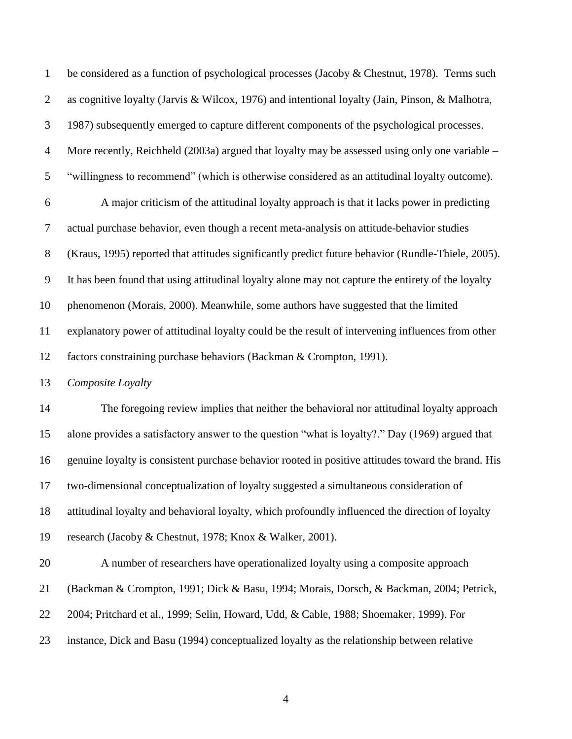be considered as a function of psychological processes (Jacoby & Chestnut, 1978). Terms such as cognitive loyalty (Jarvis & Wilcox, 1976) and intentional loyalty (Jain, Pinson, & Malhotra, 1987) subsequently emerged to capture different components of the psychological processes. More recently, Reichheld (2003a) argued that loyalty may be assessed using only one variable – "willingness to recommend" (which is otherwise considered as an attitudinal loyalty outcome). A major criticism of the attitudinal loyalty approach is that it lacks power in predicting actual purchase behavior, even though a recent meta-analysis on attitude-behavior studies (Kraus, 1995) reported that attitudes significantly predict future behavior (Rundle-Thiele, 2005). It has been found that using attitudinal loyalty alone may not capture the entirety of the loyalty phenomenon (Morais, 2000). Meanwhile, some authors have suggested that the limited explanatory power of attitudinal loyalty could be the result of intervening influences from other factors constraining purchase behaviors (Backman & Crompton, 1991). *Composite Loyalty* The foregoing review implies that neither the behavioral nor attitudinal loyalty approach alone provides a satisfactory answer to the question "what is loyalty?." Day (1969) argued that genuine loyalty is consistent purchase behavior rooted in positive attitudes toward the brand. His two-dimensional conceptualization of loyalty suggested a simultaneous consideration of attitudinal loyalty and behavioral loyalty, which profoundly influenced the direction of loyalty research (Jacoby & Chestnut, 1978; Knox & Walker, 2001). A number of researchers have operationalized loyalty using a composite approach (Backman & Crompton, 1991; Dick & Basu, 1994; Morais, Dorsch, & Backman, 2004; Petrick, 2004; Pritchard et al., 1999; Selin, Howard, Udd, & Cable, 1988; Shoemaker, 1999). For instance, Dick and Basu (1994) conceptualized loyalty as the relationship between relative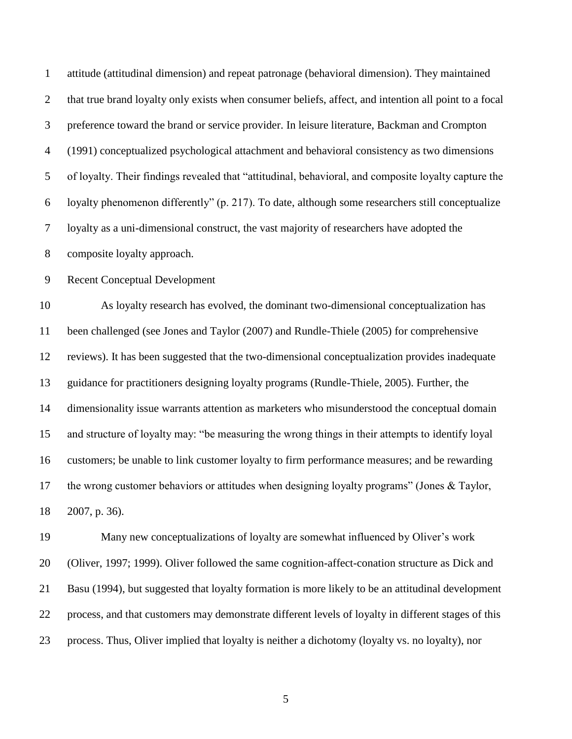| $\mathbf{1}$   | attitude (attitudinal dimension) and repeat patronage (behavioral dimension). They maintained         |
|----------------|-------------------------------------------------------------------------------------------------------|
| $\overline{2}$ | that true brand loyalty only exists when consumer beliefs, affect, and intention all point to a focal |
| 3              | preference toward the brand or service provider. In leisure literature, Backman and Crompton          |
| $\overline{4}$ | (1991) conceptualized psychological attachment and behavioral consistency as two dimensions           |
| 5              | of loyalty. Their findings revealed that "attitudinal, behavioral, and composite loyalty capture the  |
| 6              | loyalty phenomenon differently" (p. 217). To date, although some researchers still conceptualize      |
| $\overline{7}$ | loyalty as a uni-dimensional construct, the vast majority of researchers have adopted the             |
| $8\,$          | composite loyalty approach.                                                                           |
| $\overline{9}$ | <b>Recent Conceptual Development</b>                                                                  |
| 10             | As loyalty research has evolved, the dominant two-dimensional conceptualization has                   |
| 11             | been challenged (see Jones and Taylor (2007) and Rundle-Thiele (2005) for comprehensive               |
| 12             | reviews). It has been suggested that the two-dimensional conceptualization provides inadequate        |
| 13             | guidance for practitioners designing loyalty programs (Rundle-Thiele, 2005). Further, the             |
| 14             | dimensionality issue warrants attention as marketers who misunderstood the conceptual domain          |
| 15             | and structure of loyalty may: "be measuring the wrong things in their attempts to identify loyal      |
| 16             | customers; be unable to link customer loyalty to firm performance measures; and be rewarding          |
| 17             | the wrong customer behaviors or attitudes when designing loyalty programs" (Jones $& Taylor,$         |
| 18             | 2007, p. 36).                                                                                         |
| 19             | Many new conceptualizations of loyalty are somewhat influenced by Oliver's work                       |
| 20             | (Oliver, 1997; 1999). Oliver followed the same cognition-affect-conation structure as Dick and        |
| 21             | Basu (1994), but suggested that loyalty formation is more likely to be an attitudinal development     |

process. Thus, Oliver implied that loyalty is neither a dichotomy (loyalty vs. no loyalty), nor

process, and that customers may demonstrate different levels of loyalty in different stages of this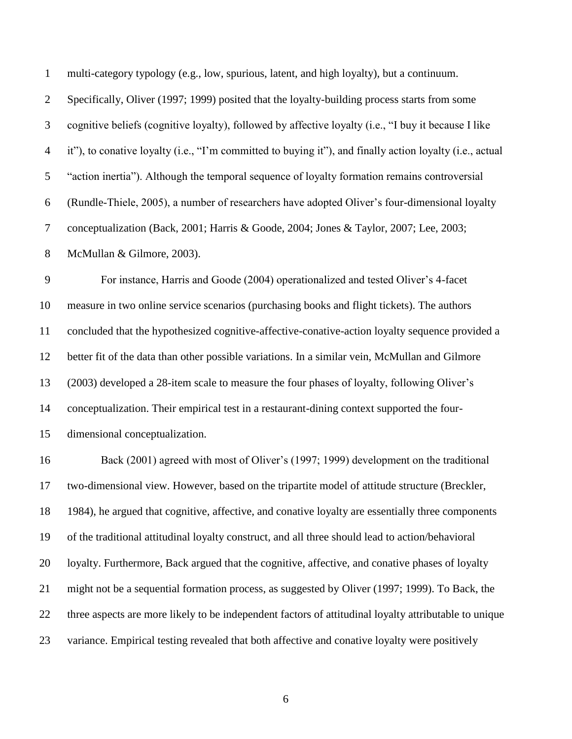| $\mathbf{1}$     | multi-category typology (e.g., low, spurious, latent, and high loyalty), but a continuum.                |
|------------------|----------------------------------------------------------------------------------------------------------|
| $\overline{2}$   | Specifically, Oliver (1997; 1999) posited that the loyalty-building process starts from some             |
| 3                | cognitive beliefs (cognitive loyalty), followed by affective loyalty (i.e., "I buy it because I like     |
| $\overline{4}$   | it"), to conative loyalty (i.e., "I'm committed to buying it"), and finally action loyalty (i.e., actual |
| 5                | "action inertia"). Although the temporal sequence of loyalty formation remains controversial             |
| 6                | (Rundle-Thiele, 2005), a number of researchers have adopted Oliver's four-dimensional loyalty            |
| $\boldsymbol{7}$ | conceptualization (Back, 2001; Harris & Goode, 2004; Jones & Taylor, 2007; Lee, 2003;                    |
| $8\,$            | McMullan & Gilmore, 2003).                                                                               |
| $\overline{9}$   | For instance, Harris and Goode (2004) operationalized and tested Oliver's 4-facet                        |
| 10               | measure in two online service scenarios (purchasing books and flight tickets). The authors               |
| 11               | concluded that the hypothesized cognitive-affective-conative-action loyalty sequence provided a          |
| 12               | better fit of the data than other possible variations. In a similar vein, McMullan and Gilmore           |
| 13               | (2003) developed a 28-item scale to measure the four phases of loyalty, following Oliver's               |
| 14               | conceptualization. Their empirical test in a restaurant-dining context supported the four-               |
| 15               | dimensional conceptualization.                                                                           |
| 16               | Back (2001) agreed with most of Oliver's (1997; 1999) development on the traditional                     |
| 17               | two-dimensional view. However, based on the tripartite model of attitude structure (Breckler,            |
| 18               | 1984), he argued that cognitive, affective, and conative loyalty are essentially three components        |
| 19               | of the traditional attitudinal loyalty construct, and all three should lead to action/behavioral         |
| 20               | loyalty. Furthermore, Back argued that the cognitive, affective, and conative phases of loyalty          |
| 21               | might not be a sequential formation process, as suggested by Oliver (1997; 1999). To Back, the           |
| 22               | three aspects are more likely to be independent factors of attitudinal loyalty attributable to unique    |
| 23               | variance. Empirical testing revealed that both affective and conative loyalty were positively            |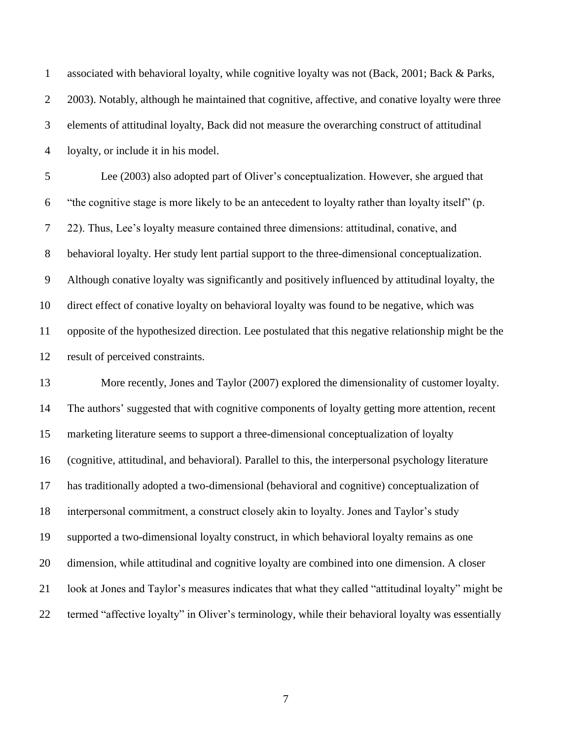associated with behavioral loyalty, while cognitive loyalty was not (Back, 2001; Back & Parks, 2003). Notably, although he maintained that cognitive, affective, and conative loyalty were three elements of attitudinal loyalty, Back did not measure the overarching construct of attitudinal loyalty, or include it in his model.

 Lee (2003) also adopted part of Oliver"s conceptualization. However, she argued that "the cognitive stage is more likely to be an antecedent to loyalty rather than loyalty itself" (p. 7 22). Thus, Lee's loyalty measure contained three dimensions: attitudinal, conative, and behavioral loyalty. Her study lent partial support to the three-dimensional conceptualization. Although conative loyalty was significantly and positively influenced by attitudinal loyalty, the direct effect of conative loyalty on behavioral loyalty was found to be negative, which was opposite of the hypothesized direction. Lee postulated that this negative relationship might be the result of perceived constraints.

 More recently, Jones and Taylor (2007) explored the dimensionality of customer loyalty. The authors" suggested that with cognitive components of loyalty getting more attention, recent marketing literature seems to support a three-dimensional conceptualization of loyalty (cognitive, attitudinal, and behavioral). Parallel to this, the interpersonal psychology literature has traditionally adopted a two-dimensional (behavioral and cognitive) conceptualization of interpersonal commitment, a construct closely akin to loyalty. Jones and Taylor"s study supported a two-dimensional loyalty construct, in which behavioral loyalty remains as one dimension, while attitudinal and cognitive loyalty are combined into one dimension. A closer look at Jones and Taylor"s measures indicates that what they called "attitudinal loyalty" might be termed "affective loyalty" in Oliver"s terminology, while their behavioral loyalty was essentially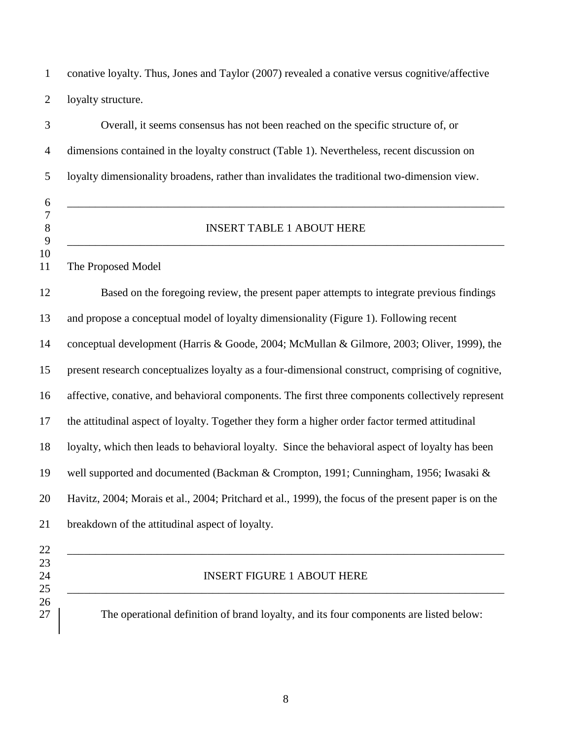conative loyalty. Thus, Jones and Taylor (2007) revealed a conative versus cognitive/affective loyalty structure.

| 3                                     | Overall, it seems consensus has not been reached on the specific structure of, or                    |  |  |  |  |  |
|---------------------------------------|------------------------------------------------------------------------------------------------------|--|--|--|--|--|
| $\overline{4}$                        | dimensions contained in the loyalty construct (Table 1). Nevertheless, recent discussion on          |  |  |  |  |  |
| 5                                     | loyalty dimensionality broadens, rather than invalidates the traditional two-dimension view.         |  |  |  |  |  |
| 6<br>$\tau$<br>$8\,$<br>9<br>10<br>11 | <b>INSERT TABLE 1 ABOUT HERE</b><br>The Proposed Model                                               |  |  |  |  |  |
| 12                                    | Based on the foregoing review, the present paper attempts to integrate previous findings             |  |  |  |  |  |
| 13                                    | and propose a conceptual model of loyalty dimensionality (Figure 1). Following recent                |  |  |  |  |  |
| 14                                    | conceptual development (Harris & Goode, 2004; McMullan & Gilmore, 2003; Oliver, 1999), the           |  |  |  |  |  |
| 15                                    | present research conceptualizes loyalty as a four-dimensional construct, comprising of cognitive,    |  |  |  |  |  |
| 16                                    | affective, conative, and behavioral components. The first three components collectively represent    |  |  |  |  |  |
| 17                                    | the attitudinal aspect of loyalty. Together they form a higher order factor termed attitudinal       |  |  |  |  |  |
| 18                                    | loyalty, which then leads to behavioral loyalty. Since the behavioral aspect of loyalty has been     |  |  |  |  |  |
| 19                                    | well supported and documented (Backman & Crompton, 1991; Cunningham, 1956; Iwasaki &                 |  |  |  |  |  |
| 20                                    | Havitz, 2004; Morais et al., 2004; Pritchard et al., 1999), the focus of the present paper is on the |  |  |  |  |  |
| 21                                    | breakdown of the attitudinal aspect of loyalty.                                                      |  |  |  |  |  |
| 22<br>23<br>24<br>25                  | <b>INSERT FIGURE 1 ABOUT HERE</b>                                                                    |  |  |  |  |  |
| 26<br>27                              | The operational definition of brand loyalty, and its four components are listed below:               |  |  |  |  |  |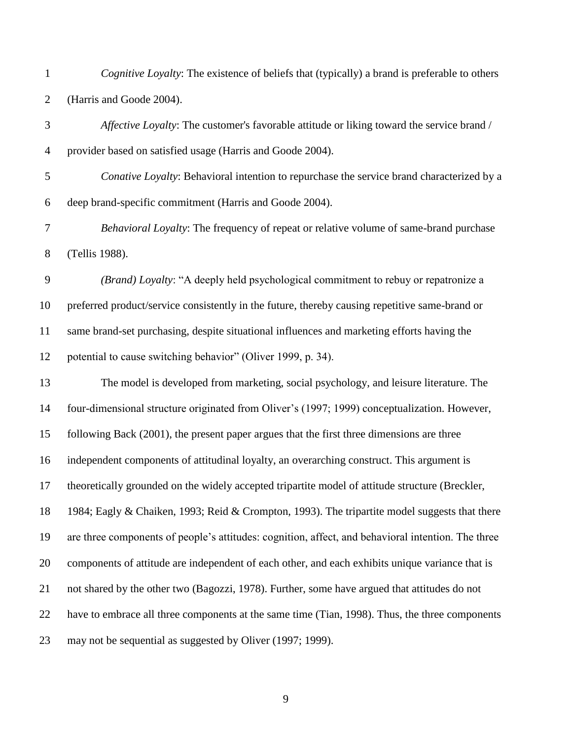*Cognitive Loyalty*: The existence of beliefs that (typically) a brand is preferable to others (Harris and Goode 2004).

 *Affective Loyalty*: The customer's favorable attitude or liking toward the service brand / provider based on satisfied usage (Harris and Goode 2004).

 *Conative Loyalty*: Behavioral intention to repurchase the service brand characterized by a deep brand-specific commitment (Harris and Goode 2004).

 *Behavioral Loyalty*: The frequency of repeat or relative volume of same-brand purchase (Tellis 1988).

 *(Brand) Loyalty*: "A deeply held psychological commitment to rebuy or repatronize a preferred product/service consistently in the future, thereby causing repetitive same-brand or same brand-set purchasing, despite situational influences and marketing efforts having the potential to cause switching behavior" (Oliver 1999, p. 34).

 The model is developed from marketing, social psychology, and leisure literature. The four-dimensional structure originated from Oliver"s (1997; 1999) conceptualization. However, following Back (2001), the present paper argues that the first three dimensions are three independent components of attitudinal loyalty, an overarching construct. This argument is theoretically grounded on the widely accepted tripartite model of attitude structure (Breckler, 1984; Eagly & Chaiken, 1993; Reid & Crompton, 1993). The tripartite model suggests that there are three components of people"s attitudes: cognition, affect, and behavioral intention. The three components of attitude are independent of each other, and each exhibits unique variance that is not shared by the other two (Bagozzi, 1978). Further, some have argued that attitudes do not have to embrace all three components at the same time (Tian, 1998). Thus, the three components may not be sequential as suggested by Oliver (1997; 1999).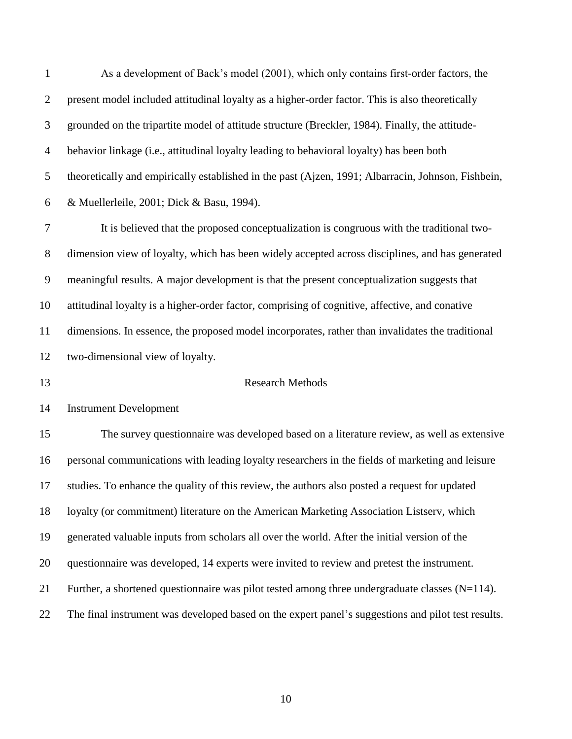As a development of Back"s model (2001), which only contains first-order factors, the present model included attitudinal loyalty as a higher-order factor. This is also theoretically grounded on the tripartite model of attitude structure (Breckler, 1984). Finally, the attitude- behavior linkage (i.e., attitudinal loyalty leading to behavioral loyalty) has been both theoretically and empirically established in the past (Ajzen, 1991; Albarracin, Johnson, Fishbein, & Muellerleile, 2001; Dick & Basu, 1994). It is believed that the proposed conceptualization is congruous with the traditional two- dimension view of loyalty, which has been widely accepted across disciplines, and has generated meaningful results. A major development is that the present conceptualization suggests that attitudinal loyalty is a higher-order factor, comprising of cognitive, affective, and conative dimensions. In essence, the proposed model incorporates, rather than invalidates the traditional two-dimensional view of loyalty. Research Methods Instrument Development The survey questionnaire was developed based on a literature review, as well as extensive personal communications with leading loyalty researchers in the fields of marketing and leisure studies. To enhance the quality of this review, the authors also posted a request for updated loyalty (or commitment) literature on the American Marketing Association Listserv, which generated valuable inputs from scholars all over the world. After the initial version of the questionnaire was developed, 14 experts were invited to review and pretest the instrument. 21 Further, a shortened questionnaire was pilot tested among three undergraduate classes  $(N=114)$ . The final instrument was developed based on the expert panel"s suggestions and pilot test results.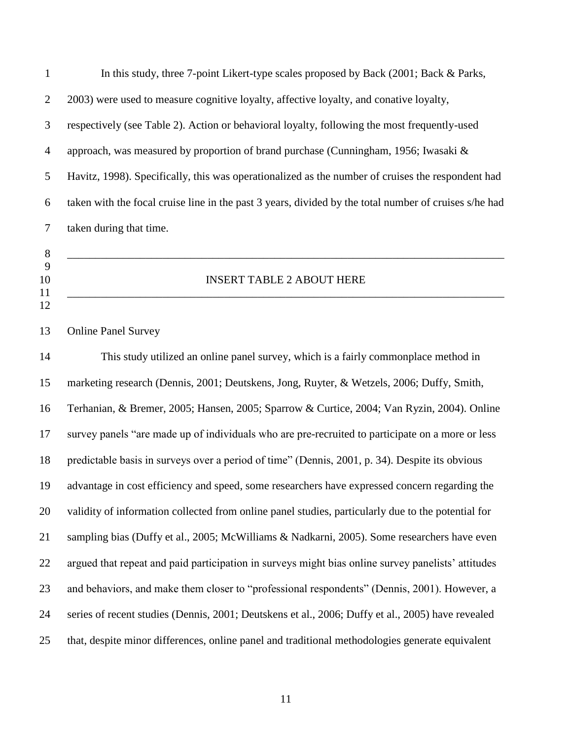| $\mathbf{1}$   | In this study, three 7-point Likert-type scales proposed by Back (2001; Back & Parks,                 |
|----------------|-------------------------------------------------------------------------------------------------------|
| $\overline{2}$ | 2003) were used to measure cognitive loyalty, affective loyalty, and conative loyalty,                |
| 3              | respectively (see Table 2). Action or behavioral loyalty, following the most frequently-used          |
| $\overline{4}$ | approach, was measured by proportion of brand purchase (Cunningham, 1956; Iwasaki &                   |
| 5              | Havitz, 1998). Specifically, this was operationalized as the number of cruises the respondent had     |
| 6              | taken with the focal cruise line in the past 3 years, divided by the total number of cruises s/he had |
| 7              | taken during that time.                                                                               |
| $\,8\,$        |                                                                                                       |
| 9<br>10        | <b>INSERT TABLE 2 ABOUT HERE</b>                                                                      |
| 11<br>12       |                                                                                                       |
| 13             | <b>Online Panel Survey</b>                                                                            |
| 14             | This study utilized an online panel survey, which is a fairly commonplace method in                   |
| 15             | marketing research (Dennis, 2001; Deutskens, Jong, Ruyter, & Wetzels, 2006; Duffy, Smith,             |
| 16             | Terhanian, & Bremer, 2005; Hansen, 2005; Sparrow & Curtice, 2004; Van Ryzin, 2004). Online            |
| 17             | survey panels "are made up of individuals who are pre-recruited to participate on a more or less      |
| 18             | predictable basis in surveys over a period of time" (Dennis, 2001, p. 34). Despite its obvious        |
| 19             | advantage in cost efficiency and speed, some researchers have expressed concern regarding the         |
| 20             | validity of information collected from online panel studies, particularly due to the potential for    |
| 21             | sampling bias (Duffy et al., 2005; McWilliams & Nadkarni, 2005). Some researchers have even           |
| 22             | argued that repeat and paid participation in surveys might bias online survey panelists' attitudes    |
| 23             | and behaviors, and make them closer to "professional respondents" (Dennis, 2001). However, a          |
| 24             | series of recent studies (Dennis, 2001; Deutskens et al., 2006; Duffy et al., 2005) have revealed     |
| 25             | that, despite minor differences, online panel and traditional methodologies generate equivalent       |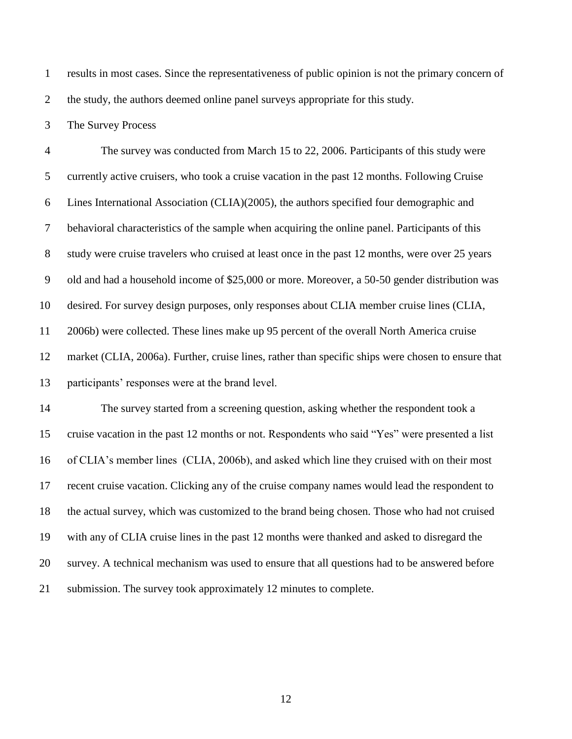results in most cases. Since the representativeness of public opinion is not the primary concern of 2 the study, the authors deemed online panel surveys appropriate for this study.

The Survey Process

 The survey was conducted from March 15 to 22, 2006. Participants of this study were currently active cruisers, who took a cruise vacation in the past 12 months. Following Cruise Lines International Association (CLIA)(2005), the authors specified four demographic and behavioral characteristics of the sample when acquiring the online panel. Participants of this study were cruise travelers who cruised at least once in the past 12 months, were over 25 years old and had a household income of \$25,000 or more. Moreover, a 50-50 gender distribution was desired. For survey design purposes, only responses about CLIA member cruise lines (CLIA, 2006b) were collected. These lines make up 95 percent of the overall North America cruise market (CLIA, 2006a). Further, cruise lines, rather than specific ships were chosen to ensure that participants" responses were at the brand level.

 The survey started from a screening question, asking whether the respondent took a cruise vacation in the past 12 months or not. Respondents who said "Yes" were presented a list of CLIA"s member lines (CLIA, 2006b), and asked which line they cruised with on their most recent cruise vacation. Clicking any of the cruise company names would lead the respondent to the actual survey, which was customized to the brand being chosen. Those who had not cruised with any of CLIA cruise lines in the past 12 months were thanked and asked to disregard the survey. A technical mechanism was used to ensure that all questions had to be answered before submission. The survey took approximately 12 minutes to complete.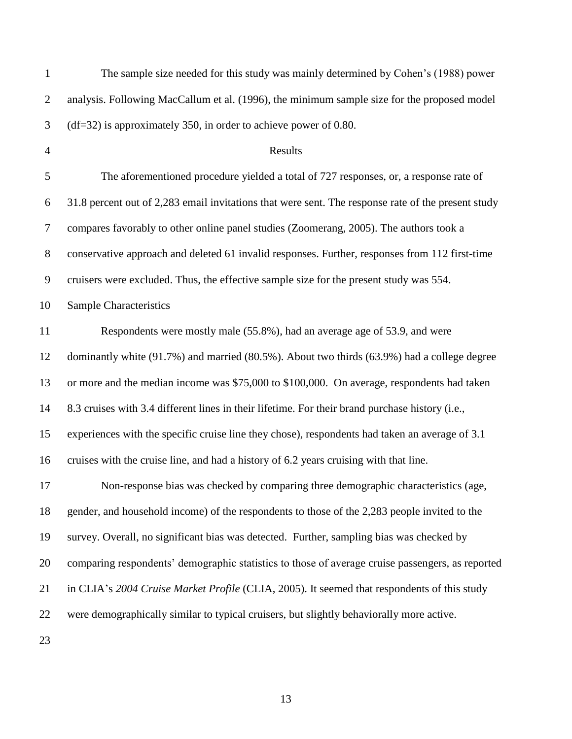| $\mathbf{1}$   | The sample size needed for this study was mainly determined by Cohen's (1988) power                |
|----------------|----------------------------------------------------------------------------------------------------|
| $\overline{2}$ | analysis. Following MacCallum et al. (1996), the minimum sample size for the proposed model        |
| 3              | $(df=32)$ is approximately 350, in order to achieve power of 0.80.                                 |
| $\overline{4}$ | Results                                                                                            |
| 5              | The aforementioned procedure yielded a total of 727 responses, or, a response rate of              |
| 6              | 31.8 percent out of 2,283 email invitations that were sent. The response rate of the present study |
| $\tau$         | compares favorably to other online panel studies (Zoomerang, 2005). The authors took a             |
| $8\,$          | conservative approach and deleted 61 invalid responses. Further, responses from 112 first-time     |
| 9              | cruisers were excluded. Thus, the effective sample size for the present study was 554.             |
| 10             | <b>Sample Characteristics</b>                                                                      |
| 11             | Respondents were mostly male (55.8%), had an average age of 53.9, and were                         |
| 12             | dominantly white (91.7%) and married (80.5%). About two thirds (63.9%) had a college degree        |
| 13             | or more and the median income was \$75,000 to \$100,000. On average, respondents had taken         |
| 14             | 8.3 cruises with 3.4 different lines in their lifetime. For their brand purchase history (i.e.,    |
| 15             | experiences with the specific cruise line they chose), respondents had taken an average of 3.1     |
| 16             | cruises with the cruise line, and had a history of 6.2 years cruising with that line.              |
| 17             | Non-response bias was checked by comparing three demographic characteristics (age                  |
| 18             | gender, and household income) of the respondents to those of the 2,283 people invited to the       |
| 19             | survey. Overall, no significant bias was detected. Further, sampling bias was checked by           |
| 20             | comparing respondents' demographic statistics to those of average cruise passengers, as reported   |
| 21             | in CLIA's 2004 Cruise Market Profile (CLIA, 2005). It seemed that respondents of this study        |
| 22             | were demographically similar to typical cruisers, but slightly behaviorally more active.           |
| 23             |                                                                                                    |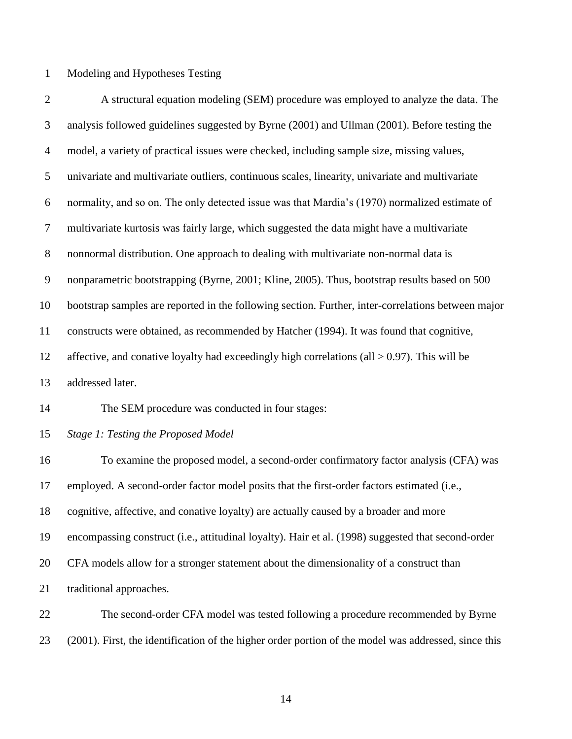Modeling and Hypotheses Testing

 A structural equation modeling (SEM) procedure was employed to analyze the data. The analysis followed guidelines suggested by Byrne (2001) and Ullman (2001). Before testing the model, a variety of practical issues were checked, including sample size, missing values, univariate and multivariate outliers, continuous scales, linearity, univariate and multivariate normality, and so on. The only detected issue was that Mardia"s (1970) normalized estimate of multivariate kurtosis was fairly large, which suggested the data might have a multivariate nonnormal distribution. One approach to dealing with multivariate non-normal data is nonparametric bootstrapping (Byrne, 2001; Kline, 2005). Thus, bootstrap results based on 500 bootstrap samples are reported in the following section. Further, inter-correlations between major constructs were obtained, as recommended by Hatcher (1994). It was found that cognitive, 12 affective, and conative loyalty had exceedingly high correlations (all  $> 0.97$ ). This will be addressed later.

The SEM procedure was conducted in four stages:

*Stage 1: Testing the Proposed Model* 

 To examine the proposed model, a second-order confirmatory factor analysis (CFA) was employed. A second-order factor model posits that the first-order factors estimated (i.e., cognitive, affective, and conative loyalty) are actually caused by a broader and more encompassing construct (i.e., attitudinal loyalty). Hair et al. (1998) suggested that second-order CFA models allow for a stronger statement about the dimensionality of a construct than traditional approaches.

 The second-order CFA model was tested following a procedure recommended by Byrne (2001). First, the identification of the higher order portion of the model was addressed, since this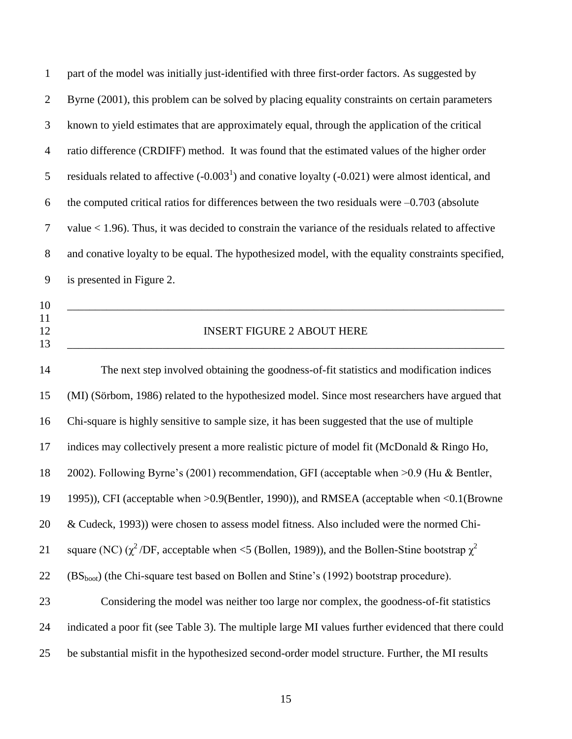| $\mathbf{1}$         | part of the model was initially just-identified with three first-order factors. As suggested by         |  |  |  |  |
|----------------------|---------------------------------------------------------------------------------------------------------|--|--|--|--|
| $\overline{2}$       | Byrne (2001), this problem can be solved by placing equality constraints on certain parameters          |  |  |  |  |
| 3                    | known to yield estimates that are approximately equal, through the application of the critical          |  |  |  |  |
| $\overline{4}$       | ratio difference (CRDIFF) method. It was found that the estimated values of the higher order            |  |  |  |  |
| 5                    | residuals related to affective $(-0.0031)$ and conative loyalty $(-0.021)$ were almost identical, and   |  |  |  |  |
| 6                    | the computed critical ratios for differences between the two residuals were $-0.703$ (absolute          |  |  |  |  |
| $\tau$               | value $<$ 1.96). Thus, it was decided to constrain the variance of the residuals related to affective   |  |  |  |  |
| $8\,$                | and conative loyalty to be equal. The hypothesized model, with the equality constraints specified,      |  |  |  |  |
| 9                    | is presented in Figure 2.                                                                               |  |  |  |  |
| 10<br>11<br>12<br>13 | <b>INSERT FIGURE 2 ABOUT HERE</b>                                                                       |  |  |  |  |
| 14                   | The next step involved obtaining the goodness-of-fit statistics and modification indices                |  |  |  |  |
| 15                   | (MI) (Sörbom, 1986) related to the hypothesized model. Since most researchers have argued that          |  |  |  |  |
| 16                   | Chi-square is highly sensitive to sample size, it has been suggested that the use of multiple           |  |  |  |  |
| 17                   | indices may collectively present a more realistic picture of model fit (McDonald & Ringo Ho,            |  |  |  |  |
| 18                   | 2002). Following Byrne's (2001) recommendation, GFI (acceptable when >0.9 (Hu & Bentler,                |  |  |  |  |
| 19                   | 1995)), CFI (acceptable when >0.9(Bentler, 1990)), and RMSEA (acceptable when <0.1(Browne               |  |  |  |  |
| 20                   | & Cudeck, 1993)) were chosen to assess model fitness. Also included were the normed Chi-                |  |  |  |  |
| 21                   | square (NC) ( $\chi^2$ /DF, acceptable when <5 (Bollen, 1989)), and the Bollen-Stine bootstrap $\chi^2$ |  |  |  |  |
| 22                   | (BS <sub>boot</sub> ) (the Chi-square test based on Bollen and Stine's (1992) bootstrap procedure).     |  |  |  |  |
| 23                   | Considering the model was neither too large nor complex, the goodness-of-fit statistics                 |  |  |  |  |

 indicated a poor fit (see Table 3). The multiple large MI values further evidenced that there could be substantial misfit in the hypothesized second-order model structure. Further, the MI results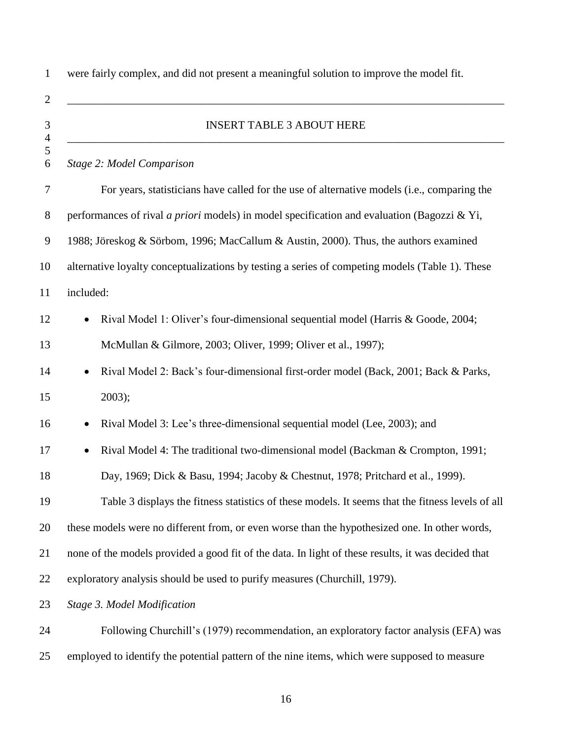were fairly complex, and did not present a meaningful solution to improve the model fit.  $\hspace{0.4cm}$   $\hspace{0.4cm}$   $\hspace{0.4cm}$   $\hspace{0.4cm}$   $\hspace{0.4cm}$   $\hspace{0.4cm}$   $\hspace{0.4cm}$   $\hspace{0.4cm}$   $\hspace{0.4cm}$   $\hspace{0.4cm}$   $\hspace{0.4cm}$   $\hspace{0.4cm}$   $\hspace{0.4cm}$   $\hspace{0.4cm}$   $\hspace{0.4cm}$   $\hspace{0.4cm}$   $\hspace{0.4cm}$   $\hspace{0.4cm}$   $\hs$  INSERT TABLE 3 ABOUT HERE \_\_\_\_\_\_\_\_\_\_\_\_\_\_\_\_\_\_\_\_\_\_\_\_\_\_\_\_\_\_\_\_\_\_\_\_\_\_\_\_\_\_\_\_\_\_\_\_\_\_\_\_\_\_\_\_\_\_\_\_\_\_\_\_\_\_\_\_\_\_\_\_\_\_\_\_\_\_ *Stage 2: Model Comparison* For years, statisticians have called for the use of alternative models (i.e., comparing the performances of rival *a priori* models) in model specification and evaluation (Bagozzi & Yi, 1988; Jöreskog & Sörbom, 1996; MacCallum & Austin, 2000). Thus, the authors examined alternative loyalty conceptualizations by testing a series of competing models (Table 1). These included: 12 • Rival Model 1: Oliver's four-dimensional sequential model (Harris & Goode, 2004; McMullan & Gilmore, 2003; Oliver, 1999; Oliver et al., 1997); 14 • Rival Model 2: Back's four-dimensional first-order model (Back, 2001; Back & Parks, 2003); 16 • Rival Model 3: Lee's three-dimensional sequential model (Lee, 2003); and 17 • Rival Model 4: The traditional two-dimensional model (Backman & Crompton, 1991; Day, 1969; Dick & Basu, 1994; Jacoby & Chestnut, 1978; Pritchard et al., 1999). Table 3 displays the fitness statistics of these models. It seems that the fitness levels of all these models were no different from, or even worse than the hypothesized one. In other words, none of the models provided a good fit of the data. In light of these results, it was decided that exploratory analysis should be used to purify measures (Churchill, 1979). *Stage 3. Model Modification* Following Churchill"s (1979) recommendation, an exploratory factor analysis (EFA) was

employed to identify the potential pattern of the nine items, which were supposed to measure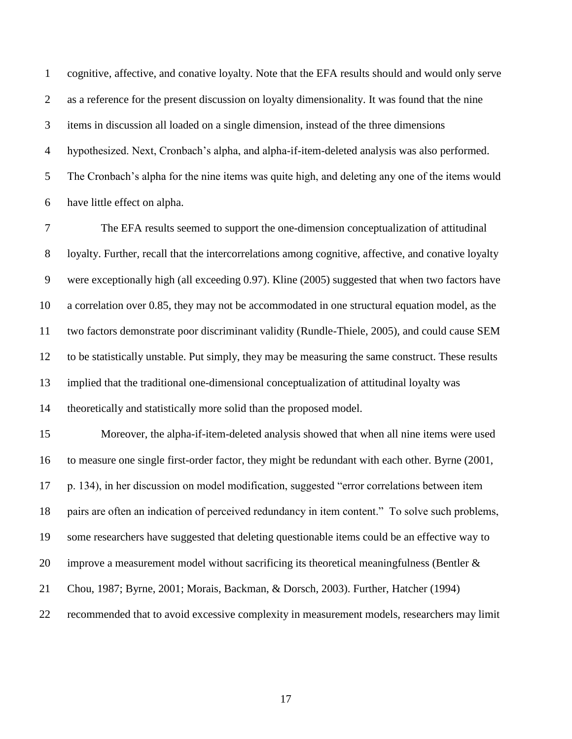cognitive, affective, and conative loyalty. Note that the EFA results should and would only serve as a reference for the present discussion on loyalty dimensionality. It was found that the nine items in discussion all loaded on a single dimension, instead of the three dimensions hypothesized. Next, Cronbach"s alpha, and alpha-if-item-deleted analysis was also performed. The Cronbach"s alpha for the nine items was quite high, and deleting any one of the items would have little effect on alpha.

 The EFA results seemed to support the one-dimension conceptualization of attitudinal loyalty. Further, recall that the intercorrelations among cognitive, affective, and conative loyalty were exceptionally high (all exceeding 0.97). Kline (2005) suggested that when two factors have a correlation over 0.85, they may not be accommodated in one structural equation model, as the two factors demonstrate poor discriminant validity (Rundle-Thiele, 2005), and could cause SEM to be statistically unstable. Put simply, they may be measuring the same construct. These results implied that the traditional one-dimensional conceptualization of attitudinal loyalty was theoretically and statistically more solid than the proposed model.

 Moreover, the alpha-if-item-deleted analysis showed that when all nine items were used to measure one single first-order factor, they might be redundant with each other. Byrne (2001, p. 134), in her discussion on model modification, suggested "error correlations between item pairs are often an indication of perceived redundancy in item content." To solve such problems, some researchers have suggested that deleting questionable items could be an effective way to improve a measurement model without sacrificing its theoretical meaningfulness (Bentler & Chou, 1987; Byrne, 2001; Morais, Backman, & Dorsch, 2003). Further, Hatcher (1994) recommended that to avoid excessive complexity in measurement models, researchers may limit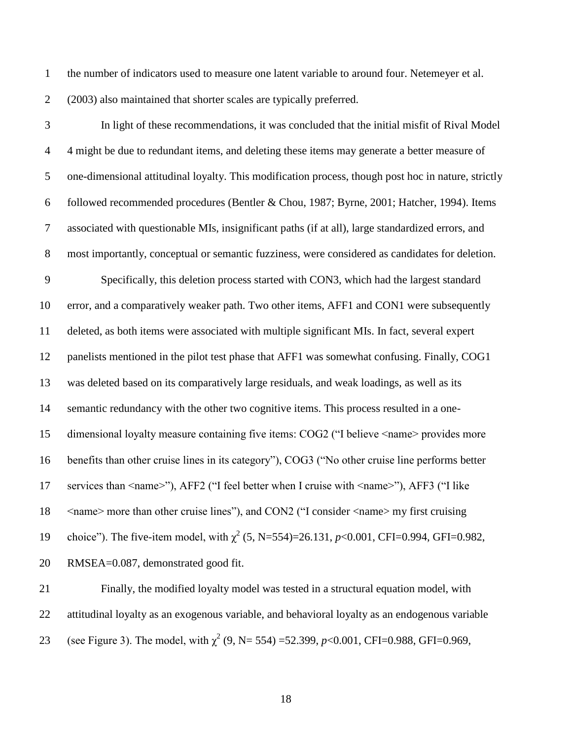- the number of indicators used to measure one latent variable to around four. Netemeyer et al. (2003) also maintained that shorter scales are typically preferred.
- 

 In light of these recommendations, it was concluded that the initial misfit of Rival Model 4 might be due to redundant items, and deleting these items may generate a better measure of one-dimensional attitudinal loyalty. This modification process, though post hoc in nature, strictly followed recommended procedures (Bentler & Chou, 1987; Byrne, 2001; Hatcher, 1994). Items associated with questionable MIs, insignificant paths (if at all), large standardized errors, and most importantly, conceptual or semantic fuzziness, were considered as candidates for deletion. Specifically, this deletion process started with CON3, which had the largest standard error, and a comparatively weaker path. Two other items, AFF1 and CON1 were subsequently deleted, as both items were associated with multiple significant MIs. In fact, several expert panelists mentioned in the pilot test phase that AFF1 was somewhat confusing. Finally, COG1 was deleted based on its comparatively large residuals, and weak loadings, as well as its semantic redundancy with the other two cognitive items. This process resulted in a one- dimensional loyalty measure containing five items: COG2 ("I believe <name> provides more benefits than other cruise lines in its category"), COG3 ("No other cruise line performs better services than <name>"), AFF2 ("I feel better when I cruise with <name>"), AFF3 ("I like  $\leq$  mame> more than other cruise lines"), and CON2 ("I consider  $\leq$  name> my first cruising 19 choice"). The five-item model, with  $\chi^2$  (5, N=554)=26.131, *p*<0.001, CFI=0.994, GFI=0.982, RMSEA=0.087, demonstrated good fit.

 Finally, the modified loyalty model was tested in a structural equation model, with attitudinal loyalty as an exogenous variable, and behavioral loyalty as an endogenous variable 23 (see Figure 3). The model, with  $\chi^2$  (9, N= 554) =52.399, *p*<0.001, CFI=0.988, GFI=0.969,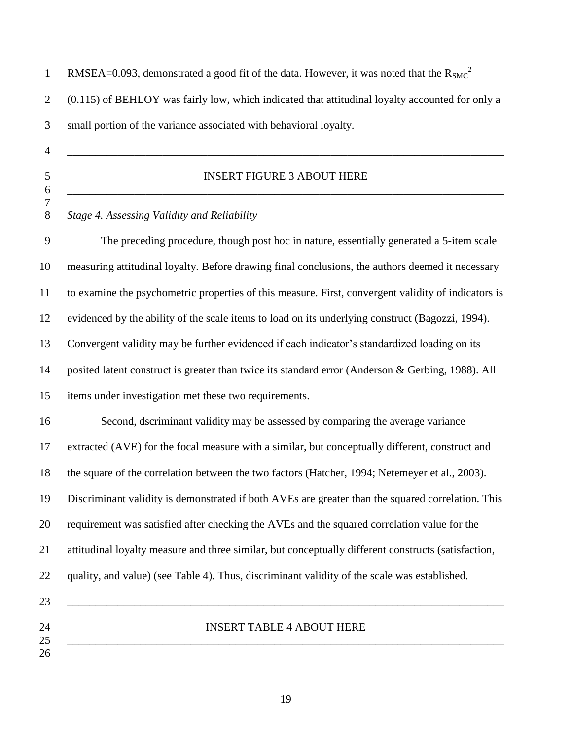| $\mathbf{1}$        | RMSEA=0.093, demonstrated a good fit of the data. However, it was noted that the $R_{SMC}^2$        |  |  |  |  |  |
|---------------------|-----------------------------------------------------------------------------------------------------|--|--|--|--|--|
| $\overline{2}$      | (0.115) of BEHLOY was fairly low, which indicated that attitudinal loyalty accounted for only a     |  |  |  |  |  |
| $\mathfrak{Z}$      | small portion of the variance associated with behavioral loyalty.                                   |  |  |  |  |  |
| $\overline{4}$      |                                                                                                     |  |  |  |  |  |
| $\mathfrak{S}$<br>6 | <b>INSERT FIGURE 3 ABOUT HERE</b>                                                                   |  |  |  |  |  |
| 7<br>$8\,$          | Stage 4. Assessing Validity and Reliability                                                         |  |  |  |  |  |
| 9                   | The preceding procedure, though post hoc in nature, essentially generated a 5-item scale            |  |  |  |  |  |
| 10                  | measuring attitudinal loyalty. Before drawing final conclusions, the authors deemed it necessary    |  |  |  |  |  |
| 11                  | to examine the psychometric properties of this measure. First, convergent validity of indicators is |  |  |  |  |  |
| 12                  | evidenced by the ability of the scale items to load on its underlying construct (Bagozzi, 1994).    |  |  |  |  |  |
| 13                  | Convergent validity may be further evidenced if each indicator's standardized loading on its        |  |  |  |  |  |
| 14                  | posited latent construct is greater than twice its standard error (Anderson & Gerbing, 1988). All   |  |  |  |  |  |
| 15                  | items under investigation met these two requirements.                                               |  |  |  |  |  |
| 16                  | Second, dscriminant validity may be assessed by comparing the average variance                      |  |  |  |  |  |
| 17                  | extracted (AVE) for the focal measure with a similar, but conceptually different, construct and     |  |  |  |  |  |
| 18                  | the square of the correlation between the two factors (Hatcher, 1994; Netemeyer et al., 2003).      |  |  |  |  |  |
| 19                  | Discriminant validity is demonstrated if both AVEs are greater than the squared correlation. This   |  |  |  |  |  |
| 20                  | requirement was satisfied after checking the AVEs and the squared correlation value for the         |  |  |  |  |  |
| 21                  | attitudinal loyalty measure and three similar, but conceptually different constructs (satisfaction, |  |  |  |  |  |
| 22                  | quality, and value) (see Table 4). Thus, discriminant validity of the scale was established.        |  |  |  |  |  |
| 23                  |                                                                                                     |  |  |  |  |  |
| 24                  | <b>INSERT TABLE 4 ABOUT HERE</b>                                                                    |  |  |  |  |  |
| 25<br>26            |                                                                                                     |  |  |  |  |  |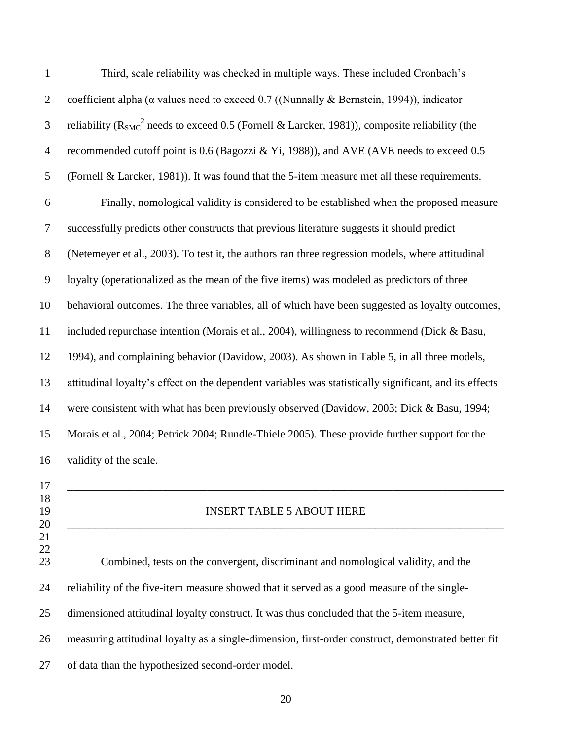| $\mathbf{1}$     | Third, scale reliability was checked in multiple ways. These included Cronbach's                         |
|------------------|----------------------------------------------------------------------------------------------------------|
| $\overline{2}$   | coefficient alpha ( $\alpha$ values need to exceed 0.7 ((Nunnally & Bernstein, 1994)), indicator         |
| 3                | reliability ( $R_{\rm SMC}^2$ needs to exceed 0.5 (Fornell & Larcker, 1981)), composite reliability (the |
| $\overline{4}$   | recommended cutoff point is 0.6 (Bagozzi & Yi, 1988)), and AVE (AVE needs to exceed 0.5                  |
| 5                | (Fornell & Larcker, 1981)). It was found that the 5-item measure met all these requirements.             |
| 6                | Finally, nomological validity is considered to be established when the proposed measure                  |
| 7                | successfully predicts other constructs that previous literature suggests it should predict               |
| $8\,$            | (Netemeyer et al., 2003). To test it, the authors ran three regression models, where attitudinal         |
| $\boldsymbol{9}$ | loyalty (operationalized as the mean of the five items) was modeled as predictors of three               |
| 10               | behavioral outcomes. The three variables, all of which have been suggested as loyalty outcomes,          |
| 11               | included repurchase intention (Morais et al., 2004), willingness to recommend (Dick & Basu,              |
| 12               | 1994), and complaining behavior (Davidow, 2003). As shown in Table 5, in all three models,               |
| 13               | attitudinal loyalty's effect on the dependent variables was statistically significant, and its effects   |
| 14               | were consistent with what has been previously observed (Davidow, 2003; Dick & Basu, 1994;                |
| 15               | Morais et al., 2004; Petrick 2004; Rundle-Thiele 2005). These provide further support for the            |
| 16               | validity of the scale.                                                                                   |
| 17<br>18         |                                                                                                          |
| 19<br>20         | <b>INSERT TABLE 5 ABOUT HERE</b>                                                                         |
| 21<br>22         |                                                                                                          |
| 23               | Combined, tests on the convergent, discriminant and nomological validity, and the                        |
| 24               | reliability of the five-item measure showed that it served as a good measure of the single-              |
| 25               | dimensioned attitudinal loyalty construct. It was thus concluded that the 5-item measure,                |
| 26               | measuring attitudinal loyalty as a single-dimension, first-order construct, demonstrated better fit      |
| 27               | of data than the hypothesized second-order model.                                                        |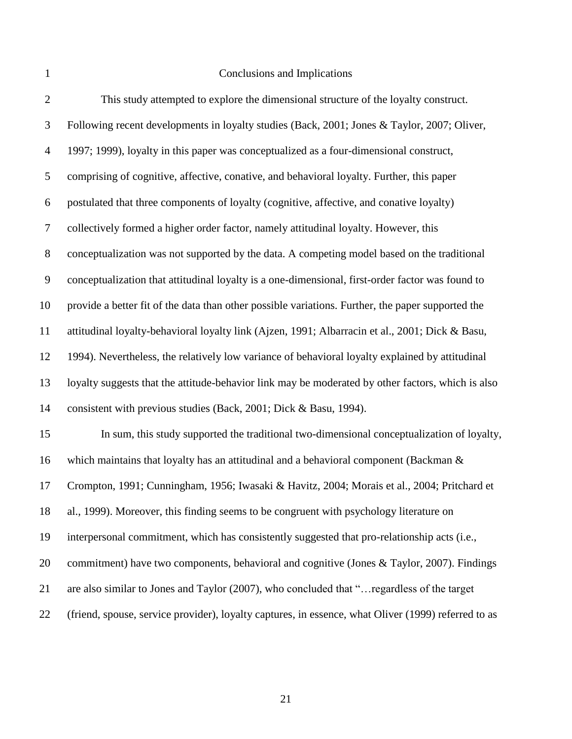## Conclusions and Implications

| $\overline{2}$   | This study attempted to explore the dimensional structure of the loyalty construct.                 |
|------------------|-----------------------------------------------------------------------------------------------------|
| 3                | Following recent developments in loyalty studies (Back, 2001; Jones & Taylor, 2007; Oliver,         |
| $\overline{4}$   | 1997; 1999), loyalty in this paper was conceptualized as a four-dimensional construct,              |
| 5                | comprising of cognitive, affective, conative, and behavioral loyalty. Further, this paper           |
| 6                | postulated that three components of loyalty (cognitive, affective, and conative loyalty)            |
| $\tau$           | collectively formed a higher order factor, namely attitudinal loyalty. However, this                |
| $8\,$            | conceptualization was not supported by the data. A competing model based on the traditional         |
| $\boldsymbol{9}$ | conceptualization that attitudinal loyalty is a one-dimensional, first-order factor was found to    |
| 10               | provide a better fit of the data than other possible variations. Further, the paper supported the   |
| 11               | attitudinal loyalty-behavioral loyalty link (Ajzen, 1991; Albarracin et al., 2001; Dick & Basu,     |
| 12               | 1994). Nevertheless, the relatively low variance of behavioral loyalty explained by attitudinal     |
| 13               | loyalty suggests that the attitude-behavior link may be moderated by other factors, which is also   |
| 14               | consistent with previous studies (Back, 2001; Dick & Basu, 1994).                                   |
| 15               | In sum, this study supported the traditional two-dimensional conceptualization of loyalty,          |
| 16               | which maintains that loyalty has an attitudinal and a behavioral component (Backman &               |
| 17               | Crompton, 1991; Cunningham, 1956; Iwasaki & Havitz, 2004; Morais et al., 2004; Pritchard et         |
| 18               | al., 1999). Moreover, this finding seems to be congruent with psychology literature on              |
| 19               | interpersonal commitment, which has consistently suggested that pro-relationship acts (i.e.,        |
| 20               | commitment) have two components, behavioral and cognitive (Jones & Taylor, 2007). Findings          |
| 21               | are also similar to Jones and Taylor (2007), who concluded that " regardless of the target          |
| 22               | (friend, spouse, service provider), loyalty captures, in essence, what Oliver (1999) referred to as |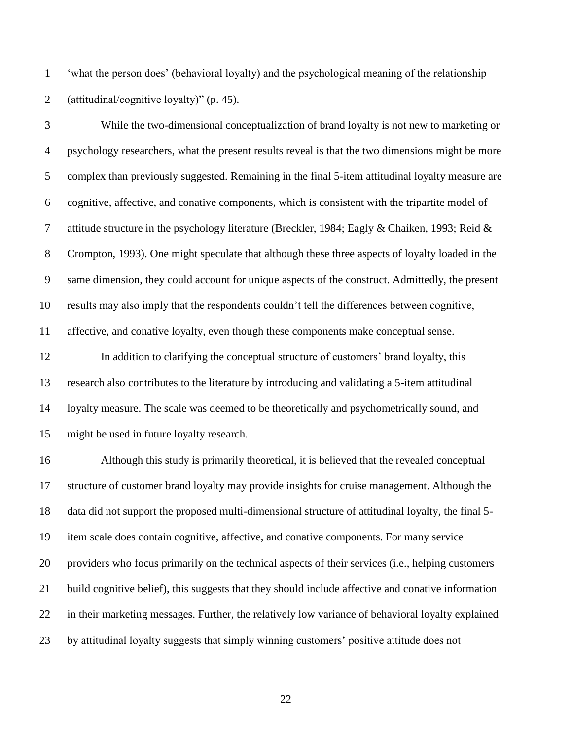"what the person does" (behavioral loyalty) and the psychological meaning of the relationship (attitudinal/cognitive loyalty)" (p. 45).

 While the two-dimensional conceptualization of brand loyalty is not new to marketing or psychology researchers, what the present results reveal is that the two dimensions might be more complex than previously suggested. Remaining in the final 5-item attitudinal loyalty measure are cognitive, affective, and conative components, which is consistent with the tripartite model of attitude structure in the psychology literature (Breckler, 1984; Eagly & Chaiken, 1993; Reid & Crompton, 1993). One might speculate that although these three aspects of loyalty loaded in the same dimension, they could account for unique aspects of the construct. Admittedly, the present results may also imply that the respondents couldn"t tell the differences between cognitive, affective, and conative loyalty, even though these components make conceptual sense. 12 In addition to clarifying the conceptual structure of customers' brand loyalty, this

 research also contributes to the literature by introducing and validating a 5-item attitudinal loyalty measure. The scale was deemed to be theoretically and psychometrically sound, and might be used in future loyalty research.

 Although this study is primarily theoretical, it is believed that the revealed conceptual structure of customer brand loyalty may provide insights for cruise management. Although the data did not support the proposed multi-dimensional structure of attitudinal loyalty, the final 5- item scale does contain cognitive, affective, and conative components. For many service providers who focus primarily on the technical aspects of their services (i.e., helping customers build cognitive belief), this suggests that they should include affective and conative information in their marketing messages. Further, the relatively low variance of behavioral loyalty explained by attitudinal loyalty suggests that simply winning customers" positive attitude does not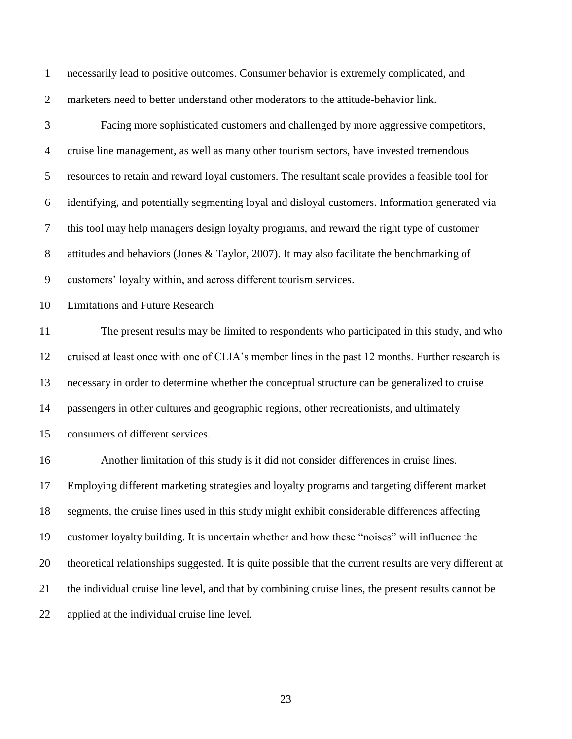necessarily lead to positive outcomes. Consumer behavior is extremely complicated, and marketers need to better understand other moderators to the attitude-behavior link.

 Facing more sophisticated customers and challenged by more aggressive competitors, cruise line management, as well as many other tourism sectors, have invested tremendous resources to retain and reward loyal customers. The resultant scale provides a feasible tool for identifying, and potentially segmenting loyal and disloyal customers. Information generated via this tool may help managers design loyalty programs, and reward the right type of customer attitudes and behaviors (Jones & Taylor, 2007). It may also facilitate the benchmarking of customers" loyalty within, and across different tourism services.

Limitations and Future Research

 The present results may be limited to respondents who participated in this study, and who cruised at least once with one of CLIA"s member lines in the past 12 months. Further research is necessary in order to determine whether the conceptual structure can be generalized to cruise passengers in other cultures and geographic regions, other recreationists, and ultimately consumers of different services.

 Another limitation of this study is it did not consider differences in cruise lines. Employing different marketing strategies and loyalty programs and targeting different market segments, the cruise lines used in this study might exhibit considerable differences affecting customer loyalty building. It is uncertain whether and how these "noises" will influence the theoretical relationships suggested. It is quite possible that the current results are very different at the individual cruise line level, and that by combining cruise lines, the present results cannot be applied at the individual cruise line level.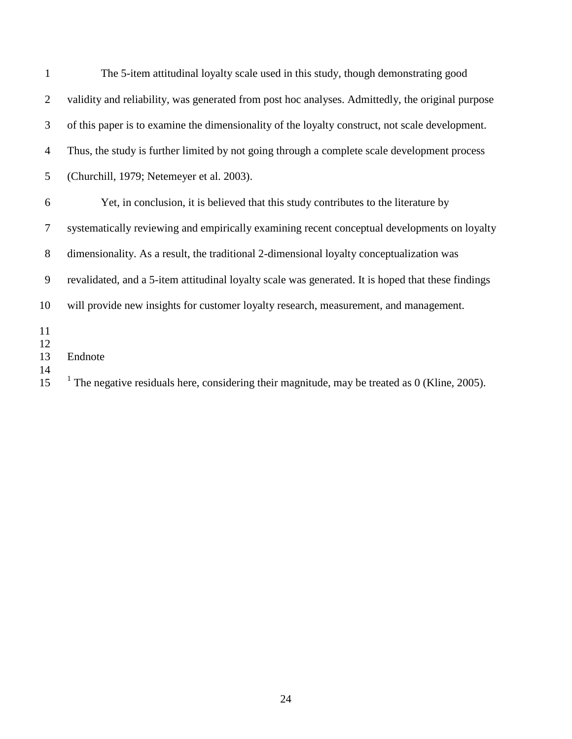| 1              | The 5-item attitudinal loyalty scale used in this study, though demonstrating good                        |
|----------------|-----------------------------------------------------------------------------------------------------------|
| 2              | validity and reliability, was generated from post hoc analyses. Admittedly, the original purpose          |
| 3              | of this paper is to examine the dimensionality of the loyalty construct, not scale development.           |
| 4              | Thus, the study is further limited by not going through a complete scale development process              |
| 5              | (Churchill, 1979; Netemeyer et al. 2003).                                                                 |
| 6              | Yet, in conclusion, it is believed that this study contributes to the literature by                       |
| $\overline{7}$ | systematically reviewing and empirically examining recent conceptual developments on loyalty              |
| 8              | dimensionality. As a result, the traditional 2-dimensional loyalty conceptualization was                  |
| 9              | revalidated, and a 5-item attitudinal loyalty scale was generated. It is hoped that these findings        |
| 10             | will provide new insights for customer loyalty research, measurement, and management.                     |
| 11<br>12       |                                                                                                           |
| 13<br>14       | Endnote                                                                                                   |
| 15             | <sup>1</sup> The negative residuals here, considering their magnitude, may be treated as 0 (Kline, 2005). |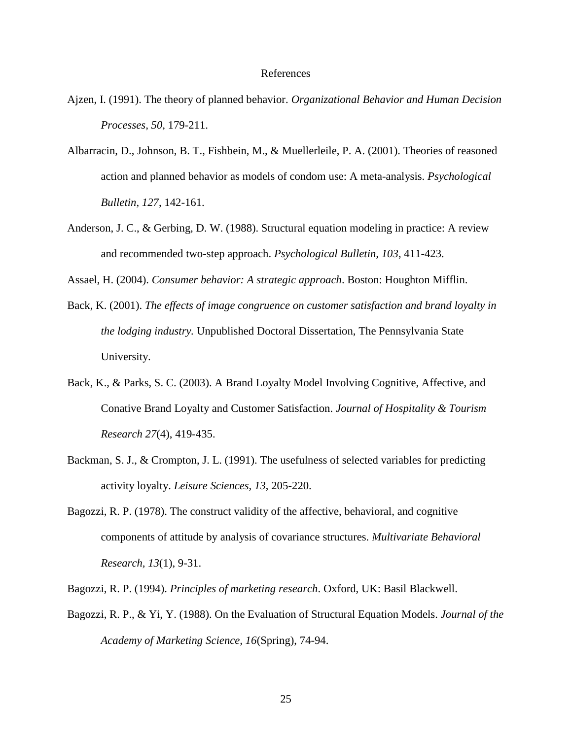## References

- Ajzen, I. (1991). The theory of planned behavior. *Organizational Behavior and Human Decision Processes, 50*, 179-211.
- Albarracin, D., Johnson, B. T., Fishbein, M., & Muellerleile, P. A. (2001). Theories of reasoned action and planned behavior as models of condom use: A meta-analysis. *Psychological Bulletin, 127*, 142-161.
- Anderson, J. C., & Gerbing, D. W. (1988). Structural equation modeling in practice: A review and recommended two-step approach. *Psychological Bulletin, 103*, 411-423.
- Assael, H. (2004). *Consumer behavior: A strategic approach*. Boston: Houghton Mifflin.
- Back, K. (2001). *The effects of image congruence on customer satisfaction and brand loyalty in the lodging industry.* Unpublished Doctoral Dissertation, The Pennsylvania State University.
- Back, K., & Parks, S. C. (2003). A Brand Loyalty Model Involving Cognitive, Affective, and Conative Brand Loyalty and Customer Satisfaction. *Journal of Hospitality & Tourism Research 27*(4), 419-435.
- Backman, S. J., & Crompton, J. L. (1991). The usefulness of selected variables for predicting activity loyalty. *Leisure Sciences, 13*, 205-220.
- Bagozzi, R. P. (1978). The construct validity of the affective, behavioral, and cognitive components of attitude by analysis of covariance structures. *Multivariate Behavioral Research, 13*(1), 9-31.
- Bagozzi, R. P. (1994). *Principles of marketing research*. Oxford, UK: Basil Blackwell.
- Bagozzi, R. P., & Yi, Y. (1988). On the Evaluation of Structural Equation Models. *Journal of the Academy of Marketing Science, 16*(Spring), 74-94.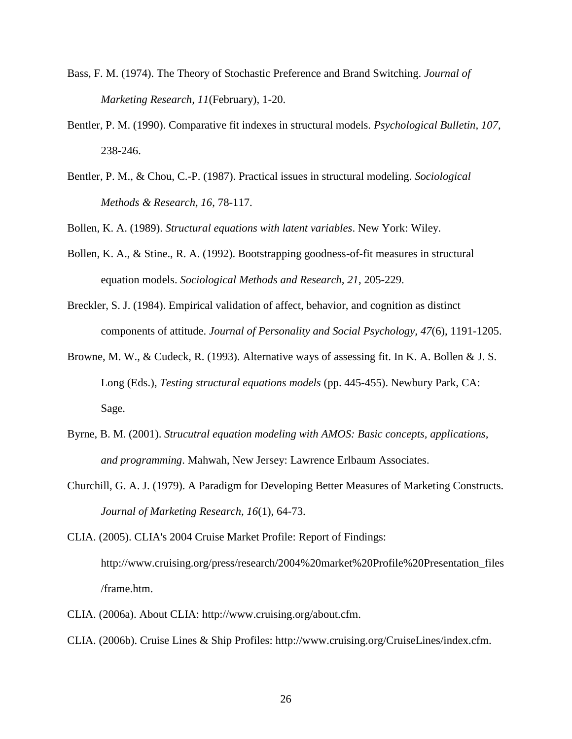- Bass, F. M. (1974). The Theory of Stochastic Preference and Brand Switching. *Journal of Marketing Research, 11*(February), 1-20.
- Bentler, P. M. (1990). Comparative fit indexes in structural models. *Psychological Bulletin, 107*, 238-246.
- Bentler, P. M., & Chou, C.-P. (1987). Practical issues in structural modeling. *Sociological Methods & Research, 16*, 78-117.

Bollen, K. A. (1989). *Structural equations with latent variables*. New York: Wiley.

- Bollen, K. A., & Stine., R. A. (1992). Bootstrapping goodness-of-fit measures in structural equation models. *Sociological Methods and Research, 21*, 205-229.
- Breckler, S. J. (1984). Empirical validation of affect, behavior, and cognition as distinct components of attitude. *Journal of Personality and Social Psychology, 47*(6), 1191-1205.
- Browne, M. W., & Cudeck, R. (1993). Alternative ways of assessing fit. In K. A. Bollen & J. S. Long (Eds.), *Testing structural equations models* (pp. 445-455). Newbury Park, CA: Sage.
- Byrne, B. M. (2001). *Strucutral equation modeling with AMOS: Basic concepts, applications, and programming*. Mahwah, New Jersey: Lawrence Erlbaum Associates.
- Churchill, G. A. J. (1979). A Paradigm for Developing Better Measures of Marketing Constructs. *Journal of Marketing Research, 16*(1), 64-73.
- CLIA. (2005). CLIA's 2004 Cruise Market Profile: Report of Findings: http://www.cruising.org/press/research/2004%20market%20Profile%20Presentation\_files /frame.htm.
- CLIA. (2006a). About CLIA: http://www.cruising.org/about.cfm.
- CLIA. (2006b). Cruise Lines & Ship Profiles: http://www.cruising.org/CruiseLines/index.cfm.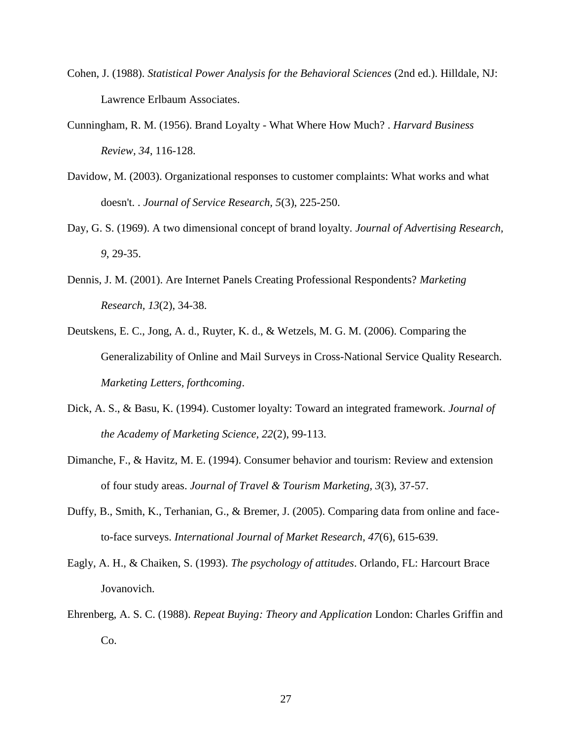- Cohen, J. (1988). *Statistical Power Analysis for the Behavioral Sciences* (2nd ed.). Hilldale, NJ: Lawrence Erlbaum Associates.
- Cunningham, R. M. (1956). Brand Loyalty What Where How Much? . *Harvard Business Review, 34*, 116-128.
- Davidow, M. (2003). Organizational responses to customer complaints: What works and what doesn't. . *Journal of Service Research, 5*(3), 225-250.
- Day, G. S. (1969). A two dimensional concept of brand loyalty. *Journal of Advertising Research, 9*, 29-35.
- Dennis, J. M. (2001). Are Internet Panels Creating Professional Respondents? *Marketing Research, 13*(2), 34-38.
- Deutskens, E. C., Jong, A. d., Ruyter, K. d., & Wetzels, M. G. M. (2006). Comparing the Generalizability of Online and Mail Surveys in Cross-National Service Quality Research. *Marketing Letters, forthcoming*.
- Dick, A. S., & Basu, K. (1994). Customer loyalty: Toward an integrated framework. *Journal of the Academy of Marketing Science, 22*(2), 99-113.
- Dimanche, F., & Havitz, M. E. (1994). Consumer behavior and tourism: Review and extension of four study areas. *Journal of Travel & Tourism Marketing, 3*(3), 37-57.
- Duffy, B., Smith, K., Terhanian, G., & Bremer, J. (2005). Comparing data from online and faceto-face surveys. *International Journal of Market Research, 47*(6), 615-639.
- Eagly, A. H., & Chaiken, S. (1993). *The psychology of attitudes*. Orlando, FL: Harcourt Brace Jovanovich.
- Ehrenberg, A. S. C. (1988). *Repeat Buying: Theory and Application* London: Charles Griffin and Co.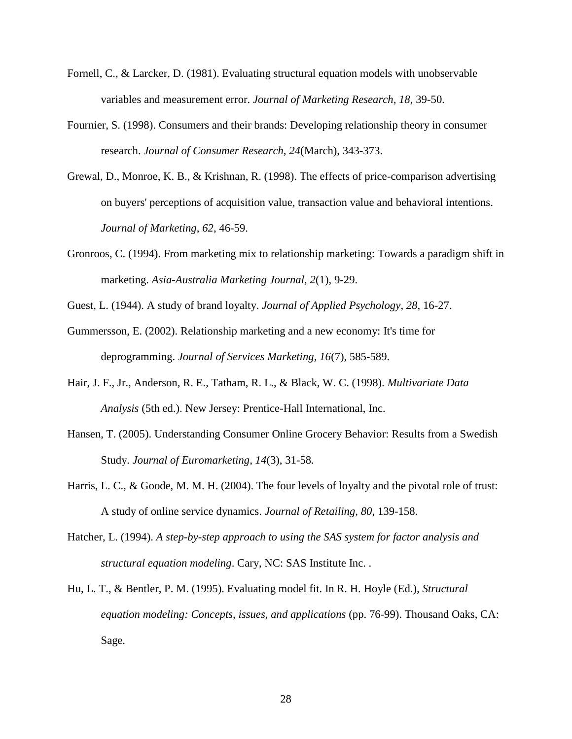- Fornell, C., & Larcker, D. (1981). Evaluating structural equation models with unobservable variables and measurement error. *Journal of Marketing Research, 18*, 39-50.
- Fournier, S. (1998). Consumers and their brands: Developing relationship theory in consumer research. *Journal of Consumer Research, 24*(March), 343-373.
- Grewal, D., Monroe, K. B., & Krishnan, R. (1998). The effects of price-comparison advertising on buyers' perceptions of acquisition value, transaction value and behavioral intentions. *Journal of Marketing, 62*, 46-59.
- Gronroos, C. (1994). From marketing mix to relationship marketing: Towards a paradigm shift in marketing. *Asia-Australia Marketing Journal, 2*(1), 9-29.
- Guest, L. (1944). A study of brand loyalty. *Journal of Applied Psychology, 28*, 16-27.
- Gummersson, E. (2002). Relationship marketing and a new economy: It's time for deprogramming. *Journal of Services Marketing, 16*(7), 585-589.
- Hair, J. F., Jr., Anderson, R. E., Tatham, R. L., & Black, W. C. (1998). *Multivariate Data Analysis* (5th ed.). New Jersey: Prentice-Hall International, Inc.
- Hansen, T. (2005). Understanding Consumer Online Grocery Behavior: Results from a Swedish Study. *Journal of Euromarketing, 14*(3), 31-58.
- Harris, L. C., & Goode, M. M. H. (2004). The four levels of loyalty and the pivotal role of trust: A study of online service dynamics. *Journal of Retailing, 80*, 139-158.
- Hatcher, L. (1994). *A step-by-step approach to using the SAS system for factor analysis and structural equation modeling*. Cary, NC: SAS Institute Inc. .
- Hu, L. T., & Bentler, P. M. (1995). Evaluating model fit. In R. H. Hoyle (Ed.), *Structural equation modeling: Concepts, issues, and applications* (pp. 76-99). Thousand Oaks, CA: Sage.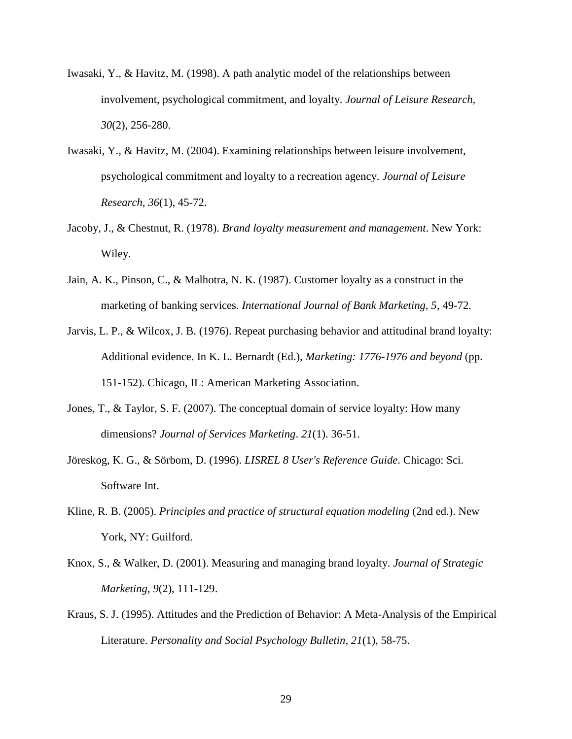- Iwasaki, Y., & Havitz, M. (1998). A path analytic model of the relationships between involvement, psychological commitment, and loyalty. *Journal of Leisure Research, 30*(2), 256-280.
- Iwasaki, Y., & Havitz, M. (2004). Examining relationships between leisure involvement, psychological commitment and loyalty to a recreation agency. *Journal of Leisure Research, 36*(1), 45-72.
- Jacoby, J., & Chestnut, R. (1978). *Brand loyalty measurement and management*. New York: Wiley.
- Jain, A. K., Pinson, C., & Malhotra, N. K. (1987). Customer loyalty as a construct in the marketing of banking services. *International Journal of Bank Marketing, 5*, 49-72.
- Jarvis, L. P., & Wilcox, J. B. (1976). Repeat purchasing behavior and attitudinal brand loyalty: Additional evidence. In K. L. Bernardt (Ed.), *Marketing: 1776-1976 and beyond* (pp. 151-152). Chicago, IL: American Marketing Association.
- Jones, T., & Taylor, S. F. (2007). The conceptual domain of service loyalty: How many dimensions? *Journal of Services Marketing*. *21*(1). 36-51.
- Jöreskog, K. G., & Sörbom, D. (1996). *LISREL 8 User's Reference Guide*. Chicago: Sci. Software Int.
- Kline, R. B. (2005). *Principles and practice of structural equation modeling* (2nd ed.). New York, NY: Guilford.
- Knox, S., & Walker, D. (2001). Measuring and managing brand loyalty. *Journal of Strategic Marketing, 9*(2), 111-129.
- Kraus, S. J. (1995). Attitudes and the Prediction of Behavior: A Meta-Analysis of the Empirical Literature. *Personality and Social Psychology Bulletin, 21*(1), 58-75.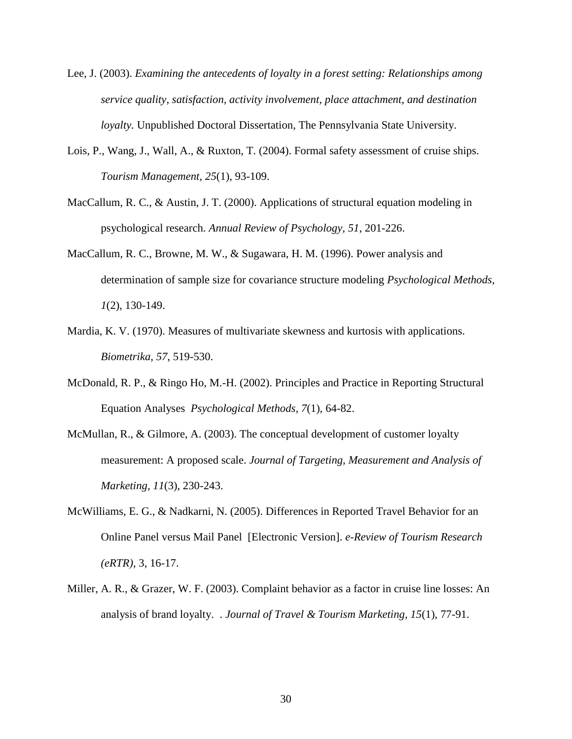- Lee, J. (2003). *Examining the antecedents of loyalty in a forest setting: Relationships among service quality, satisfaction, activity involvement, place attachment, and destination loyalty.* Unpublished Doctoral Dissertation, The Pennsylvania State University.
- Lois, P., Wang, J., Wall, A., & Ruxton, T. (2004). Formal safety assessment of cruise ships. *Tourism Management, 25*(1), 93-109.
- MacCallum, R. C., & Austin, J. T. (2000). Applications of structural equation modeling in psychological research. *Annual Review of Psychology, 51*, 201-226.
- MacCallum, R. C., Browne, M. W., & Sugawara, H. M. (1996). Power analysis and determination of sample size for covariance structure modeling *Psychological Methods, 1*(2), 130-149.
- Mardia, K. V. (1970). Measures of multivariate skewness and kurtosis with applications. *Biometrika, 57*, 519-530.
- McDonald, R. P., & Ringo Ho, M.-H. (2002). Principles and Practice in Reporting Structural Equation Analyses *Psychological Methods, 7*(1), 64-82.
- McMullan, R., & Gilmore, A. (2003). The conceptual development of customer loyalty measurement: A proposed scale. *Journal of Targeting, Measurement and Analysis of Marketing, 11*(3), 230-243.
- McWilliams, E. G., & Nadkarni, N. (2005). Differences in Reported Travel Behavior for an Online Panel versus Mail Panel [Electronic Version]. *e-Review of Tourism Research (eRTR)*, 3, 16-17.
- Miller, A. R., & Grazer, W. F. (2003). Complaint behavior as a factor in cruise line losses: An analysis of brand loyalty. . *Journal of Travel & Tourism Marketing, 15*(1), 77-91.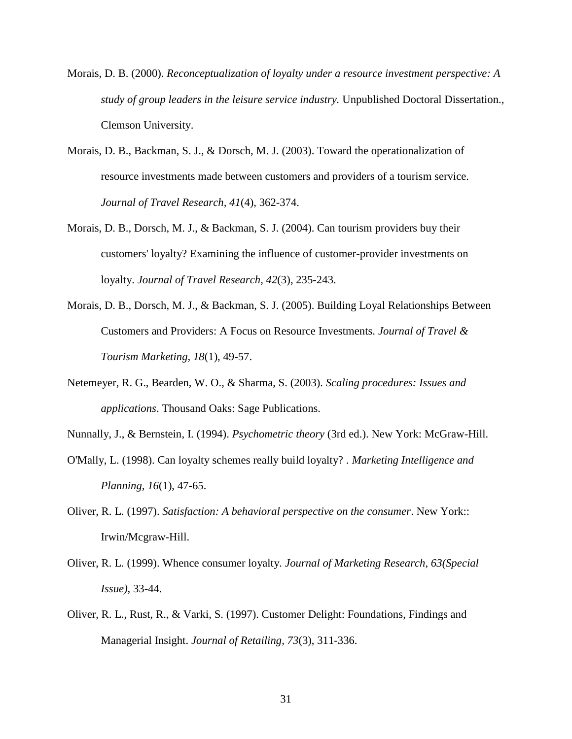- Morais, D. B. (2000). *Reconceptualization of loyalty under a resource investment perspective: A study of group leaders in the leisure service industry.* Unpublished Doctoral Dissertation., Clemson University.
- Morais, D. B., Backman, S. J., & Dorsch, M. J. (2003). Toward the operationalization of resource investments made between customers and providers of a tourism service. *Journal of Travel Research, 41*(4), 362-374.
- Morais, D. B., Dorsch, M. J., & Backman, S. J. (2004). Can tourism providers buy their customers' loyalty? Examining the influence of customer-provider investments on loyalty. *Journal of Travel Research, 42*(3), 235-243.
- Morais, D. B., Dorsch, M. J., & Backman, S. J. (2005). Building Loyal Relationships Between Customers and Providers: A Focus on Resource Investments. *Journal of Travel & Tourism Marketing, 18*(1), 49-57.
- Netemeyer, R. G., Bearden, W. O., & Sharma, S. (2003). *Scaling procedures: Issues and applications*. Thousand Oaks: Sage Publications.
- Nunnally, J., & Bernstein, I. (1994). *Psychometric theory* (3rd ed.). New York: McGraw-Hill.
- O'Mally, L. (1998). Can loyalty schemes really build loyalty? . *Marketing Intelligence and Planning, 16*(1), 47-65.
- Oliver, R. L. (1997). *Satisfaction: A behavioral perspective on the consumer*. New York:: Irwin/Mcgraw-Hill.
- Oliver, R. L. (1999). Whence consumer loyalty. *Journal of Marketing Research, 63(Special Issue)*, 33-44.
- Oliver, R. L., Rust, R., & Varki, S. (1997). Customer Delight: Foundations, Findings and Managerial Insight. *Journal of Retailing, 73*(3), 311-336.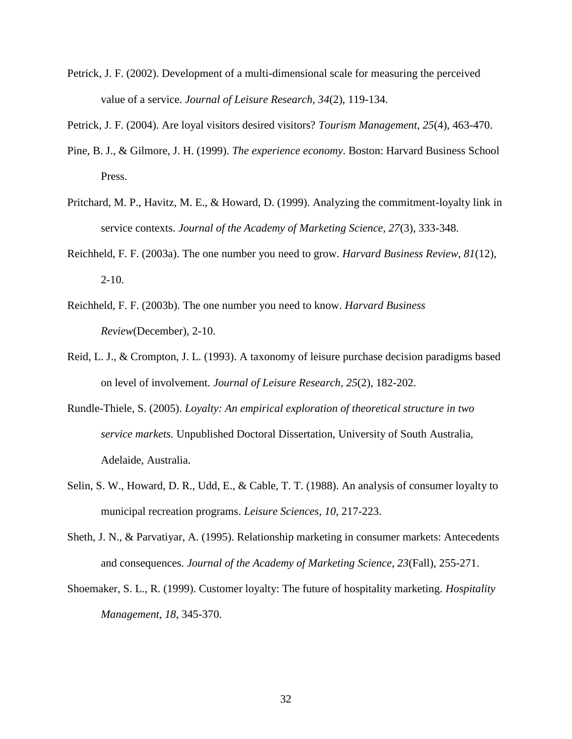- Petrick, J. F. (2002). Development of a multi-dimensional scale for measuring the perceived value of a service. *Journal of Leisure Research, 34*(2), 119-134.
- Petrick, J. F. (2004). Are loyal visitors desired visitors? *Tourism Management, 25*(4), 463-470.
- Pine, B. J., & Gilmore, J. H. (1999). *The experience economy*. Boston: Harvard Business School Press.
- Pritchard, M. P., Havitz, M. E., & Howard, D. (1999). Analyzing the commitment-loyalty link in service contexts. *Journal of the Academy of Marketing Science, 27*(3), 333-348.
- Reichheld, F. F. (2003a). The one number you need to grow. *Harvard Business Review, 81*(12),  $2-10.$
- Reichheld, F. F. (2003b). The one number you need to know. *Harvard Business Review*(December), 2-10.
- Reid, L. J., & Crompton, J. L. (1993). A taxonomy of leisure purchase decision paradigms based on level of involvement. *Journal of Leisure Research, 25*(2), 182-202.
- Rundle-Thiele, S. (2005). *Loyalty: An empirical exploration of theoretical structure in two service markets.* Unpublished Doctoral Dissertation, University of South Australia, Adelaide, Australia.
- Selin, S. W., Howard, D. R., Udd, E., & Cable, T. T. (1988). An analysis of consumer loyalty to municipal recreation programs. *Leisure Sciences, 10*, 217-223.
- Sheth, J. N., & Parvatiyar, A. (1995). Relationship marketing in consumer markets: Antecedents and consequences. *Journal of the Academy of Marketing Science, 23*(Fall), 255-271.
- Shoemaker, S. L., R. (1999). Customer loyalty: The future of hospitality marketing. *Hospitality Management, 18*, 345-370.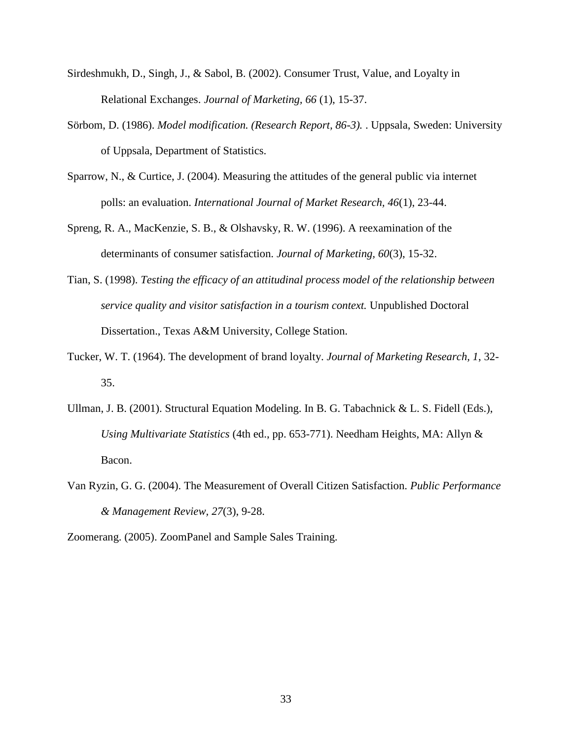- Sirdeshmukh, D., Singh, J., & Sabol, B. (2002). Consumer Trust, Value, and Loyalty in Relational Exchanges. *Journal of Marketing, 66* (1), 15-37.
- Sörbom, D. (1986). *Model modification. (Research Report, 86-3).* . Uppsala, Sweden: University of Uppsala, Department of Statistics.
- Sparrow, N., & Curtice, J. (2004). Measuring the attitudes of the general public via internet polls: an evaluation. *International Journal of Market Research, 46*(1), 23-44.
- Spreng, R. A., MacKenzie, S. B., & Olshavsky, R. W. (1996). A reexamination of the determinants of consumer satisfaction. *Journal of Marketing, 60*(3), 15-32.
- Tian, S. (1998). *Testing the efficacy of an attitudinal process model of the relationship between service quality and visitor satisfaction in a tourism context.* Unpublished Doctoral Dissertation., Texas A&M University, College Station.
- Tucker, W. T. (1964). The development of brand loyalty. *Journal of Marketing Research, 1*, 32- 35.
- Ullman, J. B. (2001). Structural Equation Modeling. In B. G. Tabachnick & L. S. Fidell (Eds.), *Using Multivariate Statistics* (4th ed., pp. 653-771). Needham Heights, MA: Allyn & Bacon.
- Van Ryzin, G. G. (2004). The Measurement of Overall Citizen Satisfaction. *Public Performance & Management Review, 27*(3), 9-28.
- Zoomerang. (2005). ZoomPanel and Sample Sales Training.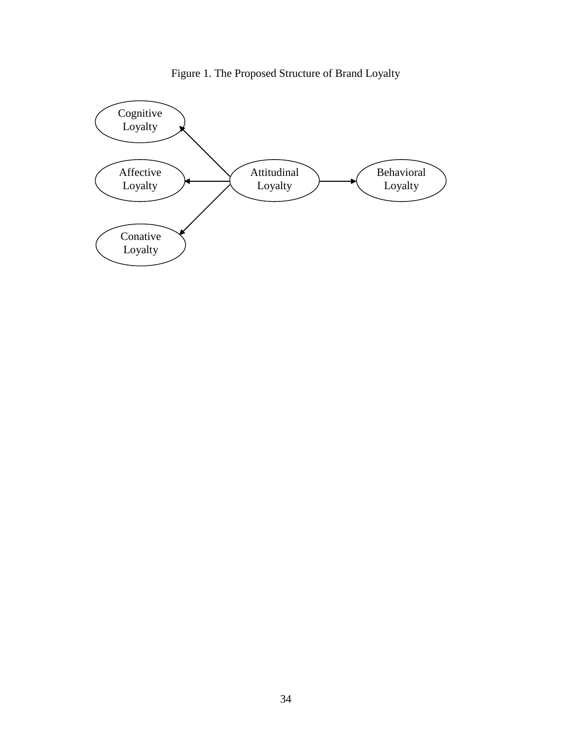

Figure 1. The Proposed Structure of Brand Loyalty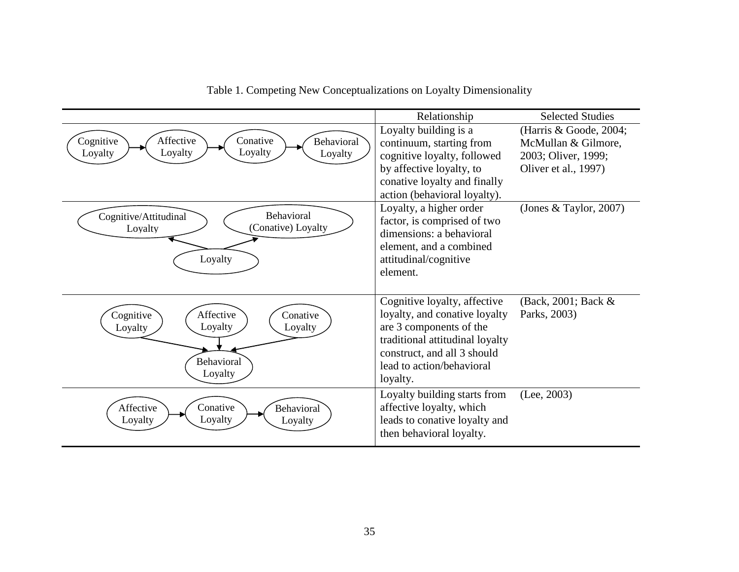|                                                                                              | Relationship                                                                                                                                                                                        | <b>Selected Studies</b>                                                                      |
|----------------------------------------------------------------------------------------------|-----------------------------------------------------------------------------------------------------------------------------------------------------------------------------------------------------|----------------------------------------------------------------------------------------------|
| Conative<br>Affective<br>Cognitive<br>Behavioral<br>Loyalty<br>Loyalty<br>Loyalty<br>Loyalty | Loyalty building is a<br>continuum, starting from<br>cognitive loyalty, followed<br>by affective loyalty, to<br>conative loyalty and finally<br>action (behavioral loyalty).                        | (Harris & Goode, 2004;<br>McMullan & Gilmore,<br>2003; Oliver, 1999;<br>Oliver et al., 1997) |
| Behavioral<br>Cognitive/Attitudinal<br>(Conative) Loyalty<br>Loyalty<br>Loyalty              | Loyalty, a higher order<br>factor, is comprised of two<br>dimensions: a behavioral<br>element, and a combined<br>attitudinal/cognitive<br>element.                                                  | (Jones & Taylor, 2007)                                                                       |
| Affective<br>Conative<br>Cognitive<br>Loyalty<br>Loyalty<br>Loyalty<br>Behavioral<br>Loyalty | Cognitive loyalty, affective<br>loyalty, and conative loyalty<br>are 3 components of the<br>traditional attitudinal loyalty<br>construct, and all 3 should<br>lead to action/behavioral<br>loyalty. | (Back, 2001; Back &<br>Parks, 2003)                                                          |
| Conative<br>Affective<br><b>Behavioral</b><br>Loyalty<br>Loyalty<br>Loyalty                  | Loyalty building starts from<br>affective loyalty, which<br>leads to conative loyalty and<br>then behavioral loyalty.                                                                               | (Lee, 2003)                                                                                  |

Table 1. Competing New Conceptualizations on Loyalty Dimensionality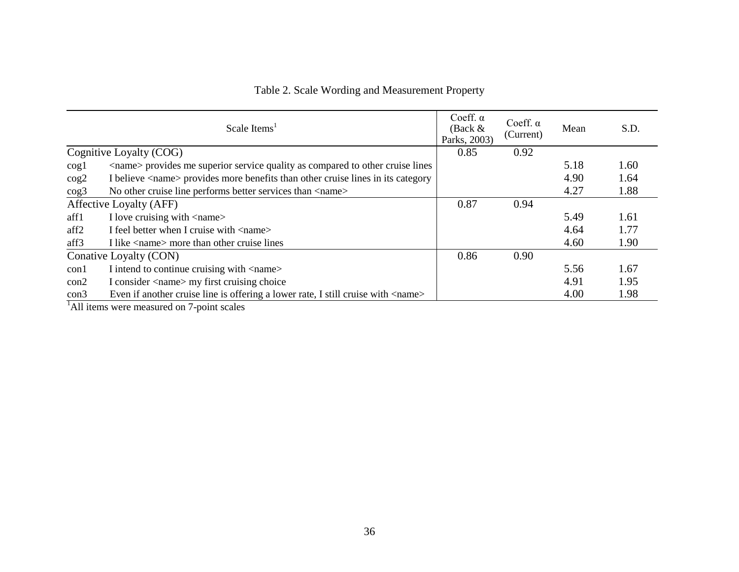|                  | Scale Items <sup>1</sup>                                                                | Coeff. $\alpha$<br>(Back $&$<br>Parks, 2003) | Coeff. $\alpha$<br>(Current) | Mean | S.D. |
|------------------|-----------------------------------------------------------------------------------------|----------------------------------------------|------------------------------|------|------|
|                  | Cognitive Loyalty (COG)                                                                 | 0.85                                         | 0.92                         |      |      |
| $\cos 1$         | <name> provides me superior service quality as compared to other cruise lines</name>    |                                              |                              | 5.18 | 1.60 |
| $\cos 2$         | I believe <name> provides more benefits than other cruise lines in its category</name>  |                                              |                              | 4.90 | 1.64 |
| $\cos^3$         | No other cruise line performs better services than $\langle$ name $\rangle$             |                                              |                              | 4.27 | 1.88 |
|                  | Affective Loyalty (AFF)                                                                 | 0.87                                         | 0.94                         |      |      |
| aff1             | I love cruising with <name></name>                                                      |                                              |                              | 5.49 | 1.61 |
| aff <sub>2</sub> | I feel better when I cruise with <name></name>                                          |                                              |                              | 4.64 | 1.77 |
| aff3             | I like $\langle$ name $\rangle$ more than other cruise lines                            |                                              |                              | 4.60 | 1.90 |
|                  | Conative Loyalty (CON)                                                                  | 0.86                                         | 0.90                         |      |      |
| $\text{con}1$    | I intend to continue cruising with <name></name>                                        |                                              |                              | 5.56 | 1.67 |
| con2             | I consider <name> my first cruising choice</name>                                       |                                              |                              | 4.91 | 1.95 |
| con3             | Even if another cruise line is offering a lower rate, I still cruise with <name></name> |                                              |                              | 4.00 | 1.98 |
| .                |                                                                                         |                                              |                              |      |      |

Table 2. Scale Wording and Measurement Property

<sup>1</sup>All items were measured on 7-point scales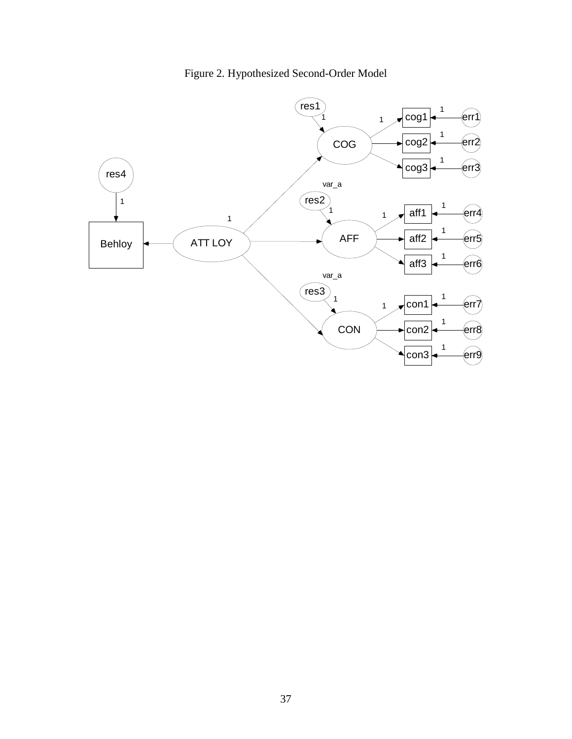

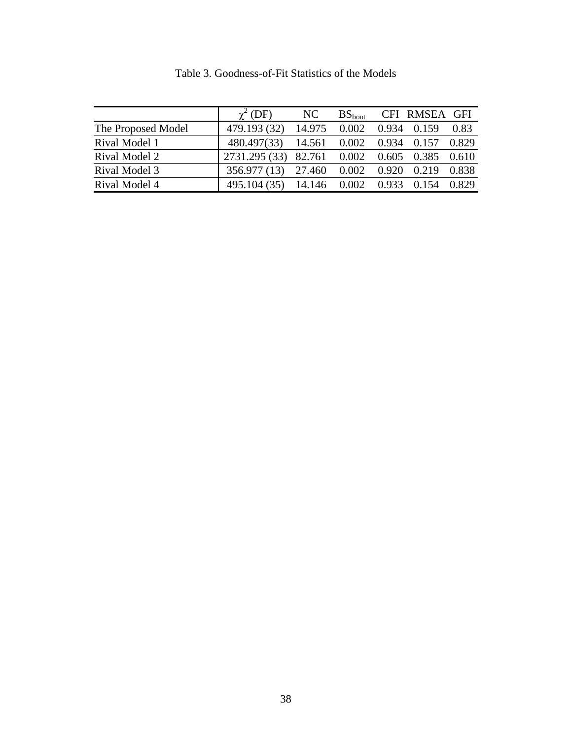|                    | $\gamma^2$ (DF)                              | NC                             |  | BS <sub>hoot</sub> CFI RMSEA GFI |  |
|--------------------|----------------------------------------------|--------------------------------|--|----------------------------------|--|
| The Proposed Model | 479.193 (32)                                 | 14.975 0.002                   |  | 0.934 0.159 0.83                 |  |
| Rival Model 1      | 480.497(33) 14.561 0.002 0.934 0.157 0.829   |                                |  |                                  |  |
| Rival Model 2      | 2731.295 (33) 82.761 0.002 0.605 0.385 0.610 |                                |  |                                  |  |
| Rival Model 3      | 356.977 (13) 27.460 0.002 0.920 0.219 0.838  |                                |  |                                  |  |
| Rival Model 4      | 495.104 (35)                                 | 14.146 0.002 0.933 0.154 0.829 |  |                                  |  |

Table 3. Goodness-of-Fit Statistics of the Models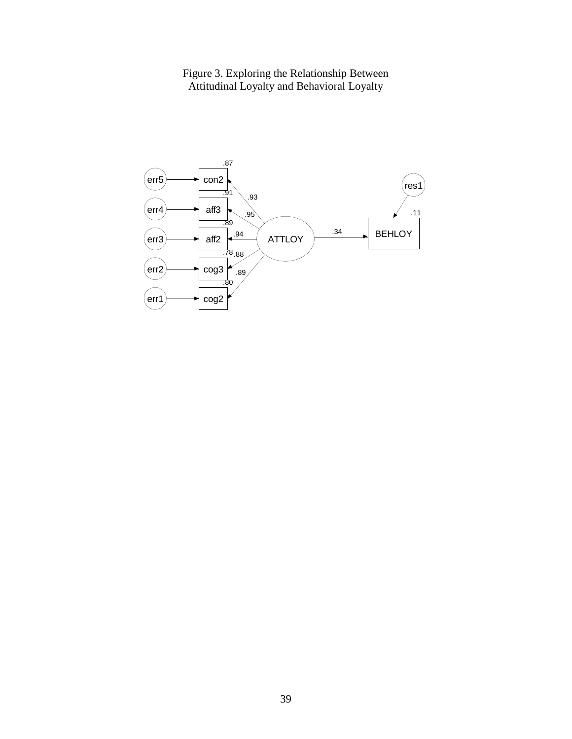Figure 3. Exploring the Relationship Between Attitudinal Loyalty and Behavioral Loyalty

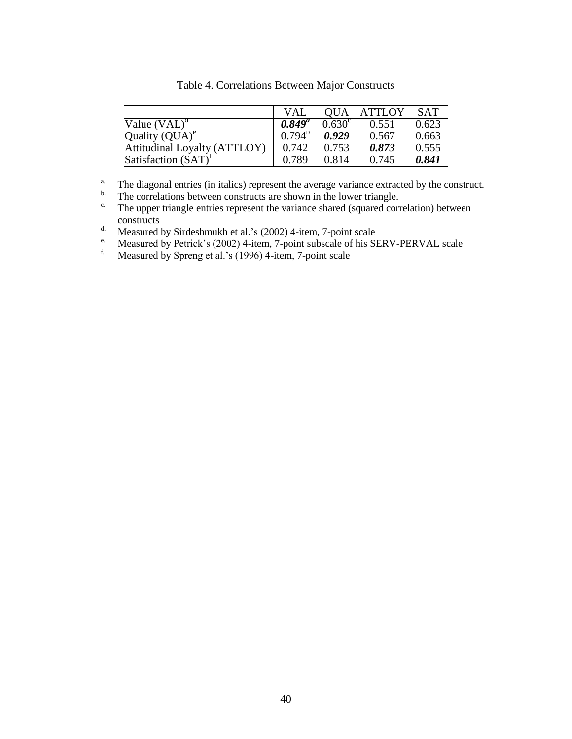|                                       | <b>VAI</b>      | <b>OUA</b>      | <b>ATTLOY</b> | <b>SAT</b> |
|---------------------------------------|-----------------|-----------------|---------------|------------|
| Value $(VAL)^d$                       | $0.849^{\circ}$ | $0.630^{\circ}$ | 0.551         | 0.623      |
| Quality $\left( \text{QUA} \right)^e$ | $0.794^{b}$     | 0.929           | 0.567         | 0.663      |
| <b>Attitudinal Loyalty (ATTLOY)</b>   | 0.742           | 0.753           | 0.873         | 0.555      |
| Satisfaction $(SAT)^{t}$              | 0.789           | 0.814           | 0.745         | 0.841      |

Table 4. Correlations Between Major Constructs

<sup>a.</sup> The diagonal entries (in italics) represent the average variance extracted by the construct.<br><sup>b.</sup> The correlations between constructs are shown in the lower triangle

<sup>b.</sup> The correlations between constructs are shown in the lower triangle.<br><sup>c.</sup> The unner triangle entries represent the variance shared (squared corre

The upper triangle entries represent the variance shared (squared correlation) between constructs

d. Measured by Sirdeshmukh et al.'s  $(2002)$  4-item, 7-point scale<br>
Measured by Petrick's  $(2002)$  4-item. 7-point subscale of his Sl

<sup>e.</sup> Measured by Petrick's (2002) 4-item, 7-point subscale of his SERV-PERVAL scale

Measured by Spreng et al.'s (1996) 4-item, 7-point scale